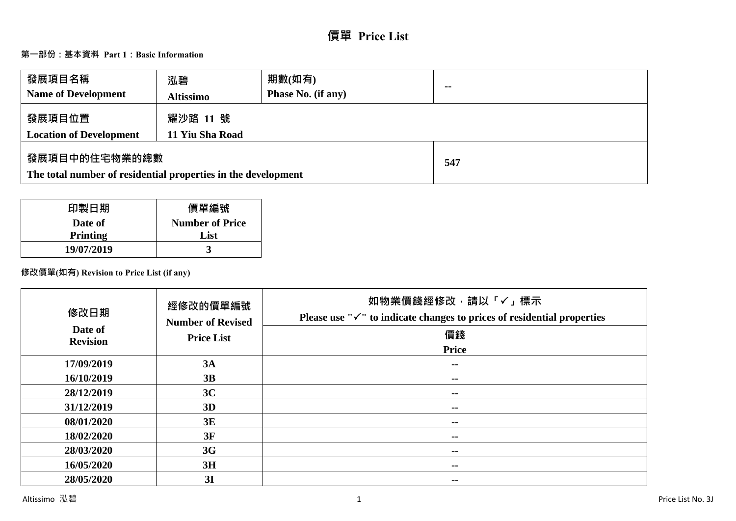# **價單 Price List**

# **第一部份:基本資料 Part 1:Basic Information**

| 發展項目名稱<br><b>Name of Development</b>                                           | 泓碧<br><b>Altissimo</b>      | 期數(如有)<br><b>Phase No. (if any)</b> | $\sim$ |
|--------------------------------------------------------------------------------|-----------------------------|-------------------------------------|--------|
| 發展項目位置<br><b>Location of Development</b>                                       | 耀沙路 11 號<br>11 Yiu Sha Road |                                     |        |
| 發展項目中的住宅物業的總數<br>The total number of residential properties in the development |                             | 547                                 |        |

| 印製日期            | 價單編號                   |
|-----------------|------------------------|
| Date of         | <b>Number of Price</b> |
| <b>Printing</b> | List                   |
| 19/07/2019      |                        |

# **修改價單(如有) Revision to Price List (if any)**

| 修改日期<br>Date of<br><b>Revision</b> | 經修改的價單編號<br><b>Number of Revised</b><br><b>Price List</b> | 如物業價錢經修改,請以「√」標示<br>Please use " $\checkmark$ " to indicate changes to prices of residential properties<br>價錢<br><b>Price</b> |
|------------------------------------|-----------------------------------------------------------|-------------------------------------------------------------------------------------------------------------------------------|
|                                    |                                                           |                                                                                                                               |
| 17/09/2019                         | 3A                                                        | $\sim$ $\sim$                                                                                                                 |
| 16/10/2019                         | 3B                                                        | $- -$                                                                                                                         |
| 28/12/2019                         | 3C                                                        | $- -$                                                                                                                         |
| 31/12/2019                         | 3D                                                        | --                                                                                                                            |
| 08/01/2020                         | 3E                                                        | --                                                                                                                            |
| 18/02/2020                         | 3F                                                        | --                                                                                                                            |
| 28/03/2020                         | 3G                                                        | --                                                                                                                            |
| 16/05/2020                         | 3H                                                        | --                                                                                                                            |
| 28/05/2020                         | 3I                                                        | --                                                                                                                            |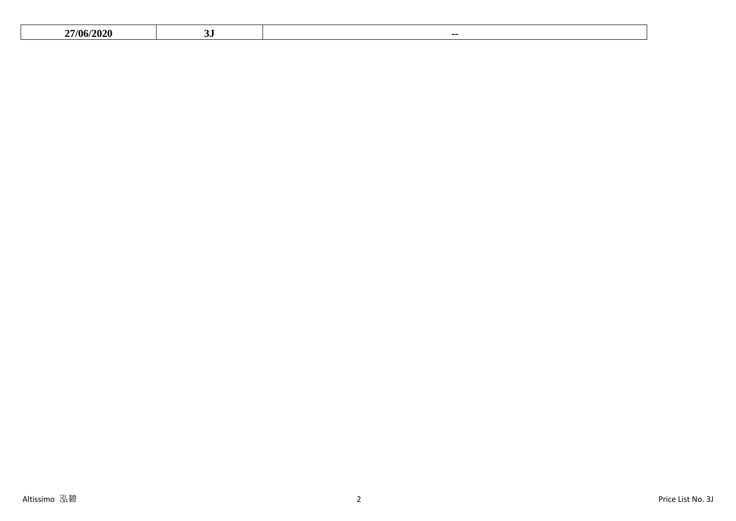| $\sim$<br>,, | $\sim$<br><b>7/06</b> |  |  |
|--------------|-----------------------|--|--|
|--------------|-----------------------|--|--|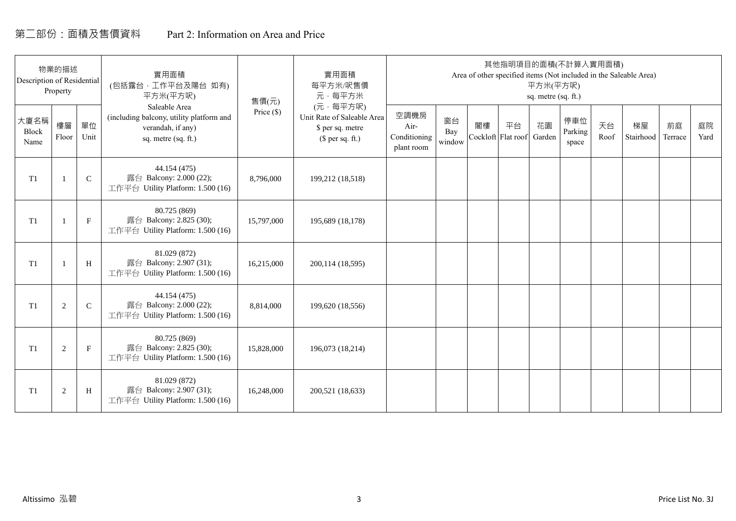# 第二部份:面積及售價資料 Part 2: Information on Area and Price

| Description of Residential | 物業的描述<br>Property |             | 實用面積<br>(包括露台,工作平台及陽台 如有)<br>平方米(平方呎)                                                                 | 售價(元)        | 實用面積<br>每平方米/呎售價<br>元·每平方米                                                     |                                            |                     |    | 其他指明項目的面積(不計算入實用面積)      | 平方米(平方呎)<br>sq. metre (sq. ft.) |                         |            | Area of other specified items (Not included in the Saleable Area) |               |            |
|----------------------------|-------------------|-------------|-------------------------------------------------------------------------------------------------------|--------------|--------------------------------------------------------------------------------|--------------------------------------------|---------------------|----|--------------------------|---------------------------------|-------------------------|------------|-------------------------------------------------------------------|---------------|------------|
| 大廈名稱<br>Block<br>Name      | 樓層<br>Floor       | 單位<br>Unit  | Saleable Area<br>(including balcony, utility platform and<br>verandah, if any)<br>sq. metre (sq. ft.) | Price $(\$)$ | (元·每平方呎)<br>Unit Rate of Saleable Area<br>\$ per sq. metre<br>$$$ per sq. ft.) | 空調機房<br>Air-<br>Conditioning<br>plant room | 窗台<br>Bay<br>window | 閣樓 | 平台<br>Cockloft Flat roof | 花園<br>Garden                    | 停車位<br>Parking<br>space | 天台<br>Roof | 梯屋<br>Stairhood                                                   | 前庭<br>Terrace | 庭院<br>Yard |
| T <sub>1</sub>             |                   | $\mathsf C$ | 44.154 (475)<br>露台 Balcony: 2.000 (22);<br>工作平台 Utility Platform: 1.500 (16)                          | 8,796,000    | 199,212 (18,518)                                                               |                                            |                     |    |                          |                                 |                         |            |                                                                   |               |            |
| T1                         |                   | $\mathbf F$ | 80.725 (869)<br>露台 Balcony: 2.825 (30);<br>工作平台 Utility Platform: 1.500 (16)                          | 15,797,000   | 195,689 (18,178)                                                               |                                            |                     |    |                          |                                 |                         |            |                                                                   |               |            |
| T <sub>1</sub>             |                   | H           | 81.029 (872)<br>露台 Balcony: 2.907 (31);<br>工作平台 Utility Platform: 1.500 (16)                          | 16,215,000   | 200,114 (18,595)                                                               |                                            |                     |    |                          |                                 |                         |            |                                                                   |               |            |
| T1                         | 2                 | $\mathbf C$ | 44.154 (475)<br>露台 Balcony: 2.000 (22);<br>工作平台 Utility Platform: 1.500 (16)                          | 8,814,000    | 199,620 (18,556)                                                               |                                            |                     |    |                          |                                 |                         |            |                                                                   |               |            |
| T1                         | 2                 | $\mathbf F$ | 80.725 (869)<br>露台 Balcony: 2.825 (30);<br>工作平台 Utility Platform: 1.500 (16)                          | 15,828,000   | 196,073 (18,214)                                                               |                                            |                     |    |                          |                                 |                         |            |                                                                   |               |            |
| T1                         | $\overline{2}$    | H           | 81.029 (872)<br>露台 Balcony: 2.907 (31);<br>工作平台 Utility Platform: 1.500 (16)                          | 16,248,000   | 200,521 (18,633)                                                               |                                            |                     |    |                          |                                 |                         |            |                                                                   |               |            |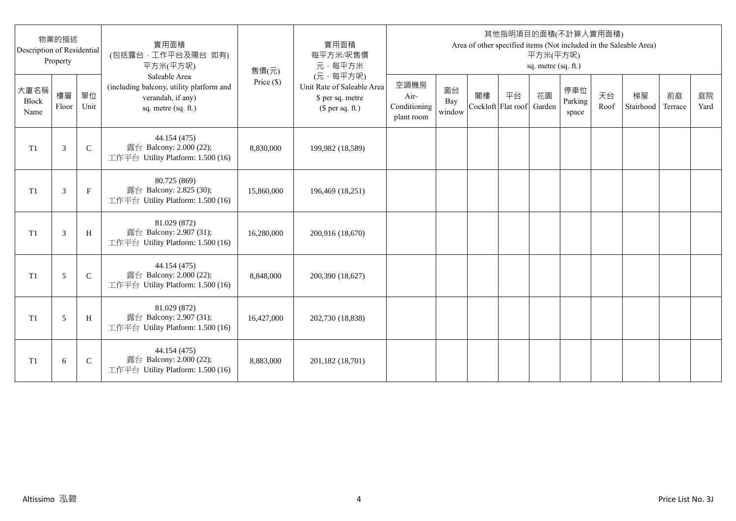| Description of Residential | 物業的描述<br>Property |              | 實用面積<br>(包括露台,工作平台及陽台 如有)<br>平方米(平方呎)                                                                 | 售價(元)      | 實用面積<br>每平方米/呎售價<br>元·每平方米                                                     |                                            |                     |    |                          | 平方米(平方呎)<br>sq. metre (sq. ft.) | 其他指明項目的面積(不計算入實用面積)     |            | Area of other specified items (Not included in the Saleable Area) |               |            |
|----------------------------|-------------------|--------------|-------------------------------------------------------------------------------------------------------|------------|--------------------------------------------------------------------------------|--------------------------------------------|---------------------|----|--------------------------|---------------------------------|-------------------------|------------|-------------------------------------------------------------------|---------------|------------|
| 大廈名稱<br>Block<br>Name      | 樓層<br>Floor       | 單位<br>Unit   | Saleable Area<br>(including balcony, utility platform and<br>verandah, if any)<br>sq. metre (sq. ft.) | Price (\$) | (元·每平方呎)<br>Unit Rate of Saleable Area<br>\$ per sq. metre<br>$$$ per sq. ft.) | 空調機房<br>Air-<br>Conditioning<br>plant room | 窗台<br>Bay<br>window | 閣樓 | 平台<br>Cockloft Flat roof | 花園<br>Garden                    | 停車位<br>Parking<br>space | 天台<br>Roof | 梯屋<br>Stairhood                                                   | 前庭<br>Terrace | 庭院<br>Yard |
| T <sub>1</sub>             | 3                 | $\mathsf{C}$ | 44.154 (475)<br>露台 Balcony: 2.000 (22);<br>工作平台 Utility Platform: 1.500 (16)                          | 8,830,000  | 199,982 (18,589)                                                               |                                            |                     |    |                          |                                 |                         |            |                                                                   |               |            |
| T <sub>1</sub>             | 3                 | $_{\rm F}$   | 80.725 (869)<br>露台 Balcony: 2.825 (30);<br>工作平台 Utility Platform: 1.500 (16)                          | 15,860,000 | 196,469 (18,251)                                                               |                                            |                     |    |                          |                                 |                         |            |                                                                   |               |            |
| T1                         | 3                 | H            | 81.029 (872)<br>露台 Balcony: 2.907 (31);<br>工作平台 Utility Platform: 1.500 (16)                          | 16,280,000 | 200,916 (18,670)                                                               |                                            |                     |    |                          |                                 |                         |            |                                                                   |               |            |
| T1                         | 5                 | $\mathsf{C}$ | 44.154 (475)<br>露台 Balcony: 2.000 (22);<br>工作平台 Utility Platform: 1.500 (16)                          | 8,848,000  | 200,390 (18,627)                                                               |                                            |                     |    |                          |                                 |                         |            |                                                                   |               |            |
| T1                         | 5                 | H            | 81.029 (872)<br>露台 Balcony: 2.907 (31);<br>工作平台 Utility Platform: 1.500 (16)                          | 16,427,000 | 202,730 (18,838)                                                               |                                            |                     |    |                          |                                 |                         |            |                                                                   |               |            |
| T <sub>1</sub>             | 6                 | $\mathsf{C}$ | 44.154 (475)<br>露台 Balcony: 2.000 (22);<br>工作平台 Utility Platform: 1.500 (16)                          | 8,883,000  | 201,182 (18,701)                                                               |                                            |                     |    |                          |                                 |                         |            |                                                                   |               |            |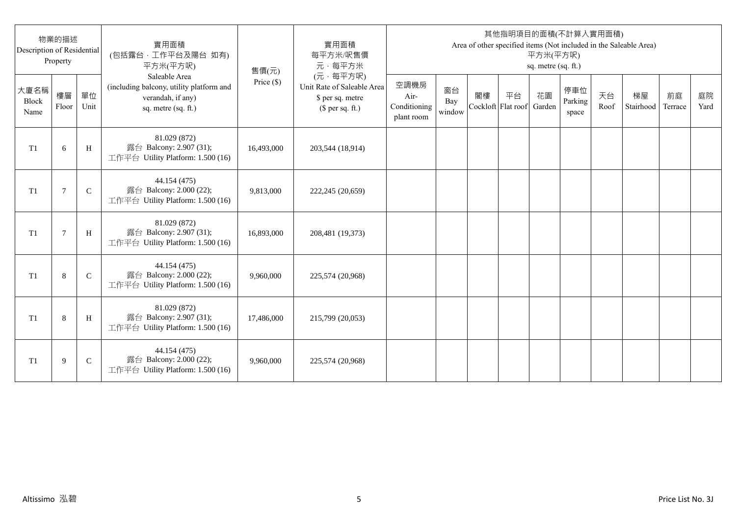| Description of Residential | 物業的描述<br>Property |               | 實用面積<br>(包括露台,工作平台及陽台 如有)<br>平方米(平方呎)                                                                 | 售價(元)      | 實用面積<br>每平方米/呎售價<br>元·每平方米                                                     |                                            |                     |    |                          | 平方米(平方呎)<br>sq. metre (sq. ft.) | 其他指明項目的面積(不計算入實用面積)     |            | Area of other specified items (Not included in the Saleable Area) |               |            |
|----------------------------|-------------------|---------------|-------------------------------------------------------------------------------------------------------|------------|--------------------------------------------------------------------------------|--------------------------------------------|---------------------|----|--------------------------|---------------------------------|-------------------------|------------|-------------------------------------------------------------------|---------------|------------|
| 大廈名稱<br>Block<br>Name      | 樓層<br>Floor       | 單位<br>Unit    | Saleable Area<br>(including balcony, utility platform and<br>verandah, if any)<br>sq. metre (sq. ft.) | Price (\$) | (元·每平方呎)<br>Unit Rate of Saleable Area<br>\$ per sq. metre<br>$$$ per sq. ft.) | 空調機房<br>Air-<br>Conditioning<br>plant room | 窗台<br>Bay<br>window | 閣樓 | 平台<br>Cockloft Flat roof | 花園<br>Garden                    | 停車位<br>Parking<br>space | 天台<br>Roof | 梯屋<br>Stairhood                                                   | 前庭<br>Terrace | 庭院<br>Yard |
| T1                         | 6                 | H             | 81.029 (872)<br>露台 Balcony: 2.907 (31);<br>工作平台 Utility Platform: 1.500 (16)                          | 16,493,000 | 203,544 (18,914)                                                               |                                            |                     |    |                          |                                 |                         |            |                                                                   |               |            |
| T1                         | $7\phantom{.0}$   | $\mathsf{C}$  | 44.154 (475)<br>露台 Balcony: 2.000 (22);<br>工作平台 Utility Platform: 1.500 (16)                          | 9,813,000  | 222,245 (20,659)                                                               |                                            |                     |    |                          |                                 |                         |            |                                                                   |               |            |
| T1                         | $\overline{7}$    | H             | 81.029 (872)<br>露台 Balcony: 2.907 (31);<br>工作平台 Utility Platform: 1.500 (16)                          | 16,893,000 | 208,481 (19,373)                                                               |                                            |                     |    |                          |                                 |                         |            |                                                                   |               |            |
| T1                         | 8                 | $\mathcal{C}$ | 44.154 (475)<br>露台 Balcony: 2.000 (22);<br>工作平台 Utility Platform: 1.500 (16)                          | 9,960,000  | 225,574 (20,968)                                                               |                                            |                     |    |                          |                                 |                         |            |                                                                   |               |            |
| T <sub>1</sub>             | 8                 | H             | 81.029 (872)<br>露台 Balcony: 2.907 (31);<br>工作平台 Utility Platform: 1.500 (16)                          | 17,486,000 | 215,799 (20,053)                                                               |                                            |                     |    |                          |                                 |                         |            |                                                                   |               |            |
| T <sub>1</sub>             | 9                 | $\mathsf{C}$  | 44.154 (475)<br>露台 Balcony: 2.000 (22);<br>工作平台 Utility Platform: 1.500 (16)                          | 9,960,000  | 225,574 (20,968)                                                               |                                            |                     |    |                          |                                 |                         |            |                                                                   |               |            |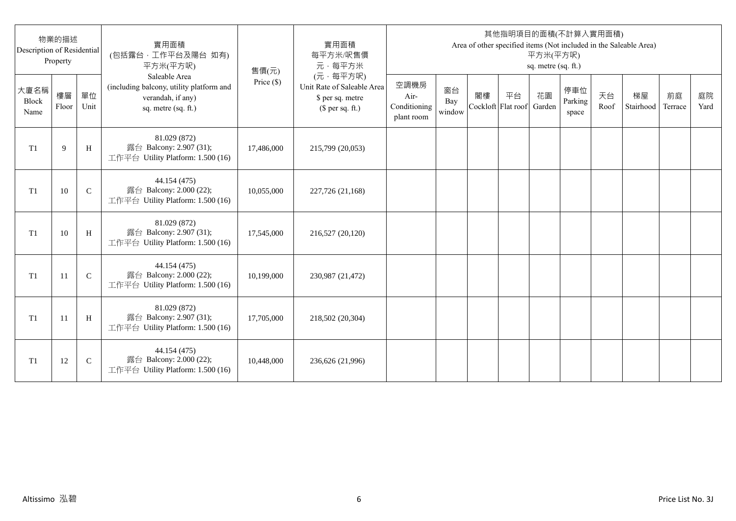| Description of Residential | 物業的描述<br>Property |              | 實用面積<br>(包括露台,工作平台及陽台 如有)<br>平方米(平方呎)                                                                 | 售價(元)      | 實用面積<br>每平方米/呎售價<br>元·每平方米                                                     |                                            |                     |                          |    | 平方米(平方呎)<br>sq. metre (sq. ft.) | 其他指明項目的面積(不計算入實用面積)     |            | Area of other specified items (Not included in the Saleable Area) |               |            |
|----------------------------|-------------------|--------------|-------------------------------------------------------------------------------------------------------|------------|--------------------------------------------------------------------------------|--------------------------------------------|---------------------|--------------------------|----|---------------------------------|-------------------------|------------|-------------------------------------------------------------------|---------------|------------|
| 大廈名稱<br>Block<br>Name      | 樓層<br>Floor       | 單位<br>Unit   | Saleable Area<br>(including balcony, utility platform and<br>verandah, if any)<br>sq. metre (sq. ft.) | Price (\$) | (元·每平方呎)<br>Unit Rate of Saleable Area<br>\$ per sq. metre<br>$$$ per sq. ft.) | 空調機房<br>Air-<br>Conditioning<br>plant room | 窗台<br>Bay<br>window | 閣樓<br>Cockloft Flat roof | 平台 | 花園<br>Garden                    | 停車位<br>Parking<br>space | 天台<br>Roof | 梯屋<br>Stairhood                                                   | 前庭<br>Terrace | 庭院<br>Yard |
| T <sub>1</sub>             | 9                 | H            | 81.029 (872)<br>露台 Balcony: 2.907 (31);<br>工作平台 Utility Platform: 1.500 (16)                          | 17,486,000 | 215,799 (20,053)                                                               |                                            |                     |                          |    |                                 |                         |            |                                                                   |               |            |
| T <sub>1</sub>             | 10                | $\mathsf{C}$ | 44.154 (475)<br>露台 Balcony: 2.000 (22);<br>工作平台 Utility Platform: 1.500 (16)                          | 10,055,000 | 227,726 (21,168)                                                               |                                            |                     |                          |    |                                 |                         |            |                                                                   |               |            |
| T1                         | 10                | H            | 81.029 (872)<br>露台 Balcony: 2.907 (31);<br>工作平台 Utility Platform: 1.500 (16)                          | 17,545,000 | 216,527 (20,120)                                                               |                                            |                     |                          |    |                                 |                         |            |                                                                   |               |            |
| T1                         | 11                | $\mathbf C$  | 44.154 (475)<br>露台 Balcony: 2.000 (22);<br>工作平台 Utility Platform: 1.500 (16)                          | 10,199,000 | 230,987 (21,472)                                                               |                                            |                     |                          |    |                                 |                         |            |                                                                   |               |            |
| T1                         | -11               | H            | 81.029 (872)<br>露台 Balcony: 2.907 (31);<br>工作平台 Utility Platform: 1.500 (16)                          | 17,705,000 | 218,502 (20,304)                                                               |                                            |                     |                          |    |                                 |                         |            |                                                                   |               |            |
| T <sub>1</sub>             | 12                | $\mathsf{C}$ | 44.154 (475)<br>露台 Balcony: 2.000 (22);<br>工作平台 Utility Platform: 1.500 (16)                          | 10,448,000 | 236,626 (21,996)                                                               |                                            |                     |                          |    |                                 |                         |            |                                                                   |               |            |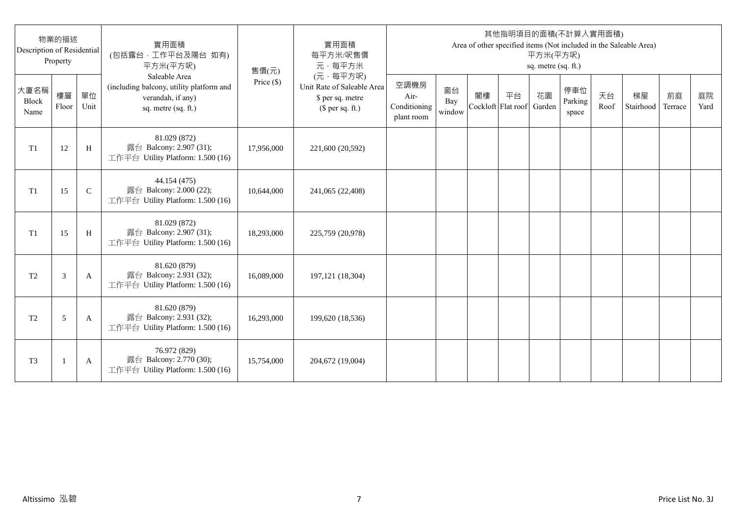| Description of Residential | 物業的描述<br>Property |               | 實用面積<br>(包括露台,工作平台及陽台 如有)<br>平方米(平方呎)                                                                 | 售價(元)      | 實用面積<br>每平方米/呎售價<br>元·每平方米                                                     |                                            |                     |                          |    | 平方米(平方呎)<br>sq. metre (sq. ft.) | 其他指明項目的面積(不計算入實用面積)     |            | Area of other specified items (Not included in the Saleable Area) |               |            |
|----------------------------|-------------------|---------------|-------------------------------------------------------------------------------------------------------|------------|--------------------------------------------------------------------------------|--------------------------------------------|---------------------|--------------------------|----|---------------------------------|-------------------------|------------|-------------------------------------------------------------------|---------------|------------|
| 大廈名稱<br>Block<br>Name      | 樓層<br>Floor       | 單位<br>Unit    | Saleable Area<br>(including balcony, utility platform and<br>verandah, if any)<br>sq. metre (sq. ft.) | Price (\$) | (元·每平方呎)<br>Unit Rate of Saleable Area<br>\$ per sq. metre<br>$$$ per sq. ft.) | 空調機房<br>Air-<br>Conditioning<br>plant room | 窗台<br>Bay<br>window | 閣樓<br>Cockloft Flat roof | 平台 | 花園<br>Garden                    | 停車位<br>Parking<br>space | 天台<br>Roof | 梯屋<br>Stairhood                                                   | 前庭<br>Terrace | 庭院<br>Yard |
| T1                         | 12                | H             | 81.029 (872)<br>露台 Balcony: 2.907 (31);<br>工作平台 Utility Platform: 1.500 (16)                          | 17,956,000 | 221,600 (20,592)                                                               |                                            |                     |                          |    |                                 |                         |            |                                                                   |               |            |
| T1                         | 15                | $\mathcal{C}$ | 44.154 (475)<br>露台 Balcony: 2.000 (22);<br>工作平台 Utility Platform: 1.500 (16)                          | 10,644,000 | 241,065 (22,408)                                                               |                                            |                     |                          |    |                                 |                         |            |                                                                   |               |            |
| T1                         | 15                | H             | 81.029 (872)<br>露台 Balcony: 2.907 (31);<br>工作平台 Utility Platform: 1.500 (16)                          | 18,293,000 | 225,759 (20,978)                                                               |                                            |                     |                          |    |                                 |                         |            |                                                                   |               |            |
| T <sub>2</sub>             | 3                 | A             | 81.620 (879)<br>露台 Balcony: 2.931 (32);<br>工作平台 Utility Platform: 1.500 (16)                          | 16,089,000 | 197, 121 (18, 304)                                                             |                                            |                     |                          |    |                                 |                         |            |                                                                   |               |            |
| T <sub>2</sub>             | 5                 | A             | 81.620 (879)<br>露台 Balcony: 2.931 (32);<br>工作平台 Utility Platform: 1.500 (16)                          | 16,293,000 | 199,620 (18,536)                                                               |                                            |                     |                          |    |                                 |                         |            |                                                                   |               |            |
| T <sub>3</sub>             |                   | A             | 76.972 (829)<br>露台 Balcony: 2.770 (30);<br>工作平台 Utility Platform: 1.500 (16)                          | 15,754,000 | 204,672 (19,004)                                                               |                                            |                     |                          |    |                                 |                         |            |                                                                   |               |            |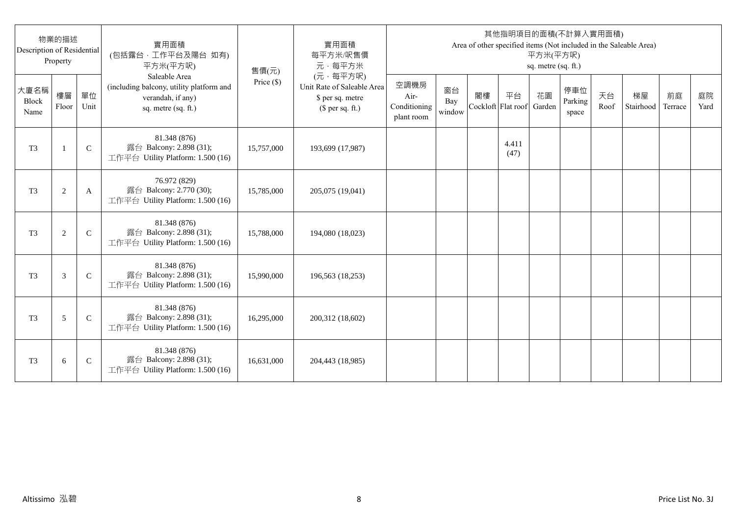| Description of Residential | 物業的描述<br>Property |              | 實用面積<br>(包括露台,工作平台及陽台 如有)<br>平方米(平方呎)                                                                 | 售價(元)      | 實用面積<br>每平方米/呎售價<br>元·每平方米                                                     |                                            |                     |                          |               | 平方米(平方呎)<br>sq. metre (sq. ft.) | 其他指明項目的面積(不計算入實用面積)     |            | Area of other specified items (Not included in the Saleable Area) |               |            |
|----------------------------|-------------------|--------------|-------------------------------------------------------------------------------------------------------|------------|--------------------------------------------------------------------------------|--------------------------------------------|---------------------|--------------------------|---------------|---------------------------------|-------------------------|------------|-------------------------------------------------------------------|---------------|------------|
| 大廈名稱<br>Block<br>Name      | 樓層<br>Floor       | 單位<br>Unit   | Saleable Area<br>(including balcony, utility platform and<br>verandah, if any)<br>sq. metre (sq. ft.) | Price (\$) | (元·每平方呎)<br>Unit Rate of Saleable Area<br>\$ per sq. metre<br>$$$ per sq. ft.) | 空調機房<br>Air-<br>Conditioning<br>plant room | 窗台<br>Bay<br>window | 閣樓<br>Cockloft Flat roof | 平台            | 花園<br>Garden                    | 停車位<br>Parking<br>space | 天台<br>Roof | 梯屋<br>Stairhood                                                   | 前庭<br>Terrace | 庭院<br>Yard |
| T <sub>3</sub>             | $\mathbf{1}$      | $\mathsf{C}$ | 81.348 (876)<br>露台 Balcony: 2.898 (31);<br>工作平台 Utility Platform: 1.500 (16)                          | 15,757,000 | 193,699 (17,987)                                                               |                                            |                     |                          | 4.411<br>(47) |                                 |                         |            |                                                                   |               |            |
| T <sub>3</sub>             | $\overline{c}$    | A            | 76.972 (829)<br>露台 Balcony: 2.770 (30);<br>工作平台 Utility Platform: 1.500 (16)                          | 15,785,000 | 205,075 (19,041)                                                               |                                            |                     |                          |               |                                 |                         |            |                                                                   |               |            |
| T <sub>3</sub>             | $\mathbf{2}$      | $\mathsf{C}$ | 81.348 (876)<br>露台 Balcony: 2.898 (31);<br>工作平台 Utility Platform: 1.500 (16)                          | 15,788,000 | 194,080 (18,023)                                                               |                                            |                     |                          |               |                                 |                         |            |                                                                   |               |            |
| T <sub>3</sub>             | 3                 | $\mathsf{C}$ | 81.348 (876)<br>露台 Balcony: 2.898 (31);<br>工作平台 Utility Platform: 1.500 (16)                          | 15,990,000 | 196,563 (18,253)                                                               |                                            |                     |                          |               |                                 |                         |            |                                                                   |               |            |
| T <sub>3</sub>             | 5                 | $\mathsf{C}$ | 81.348 (876)<br>露台 Balcony: 2.898 (31);<br>工作平台 Utility Platform: 1.500 (16)                          | 16,295,000 | 200,312 (18,602)                                                               |                                            |                     |                          |               |                                 |                         |            |                                                                   |               |            |
| T <sub>3</sub>             | 6                 | $\mathsf{C}$ | 81.348 (876)<br>露台 Balcony: 2.898 (31);<br>工作平台 Utility Platform: 1.500 (16)                          | 16,631,000 | 204,443 (18,985)                                                               |                                            |                     |                          |               |                                 |                         |            |                                                                   |               |            |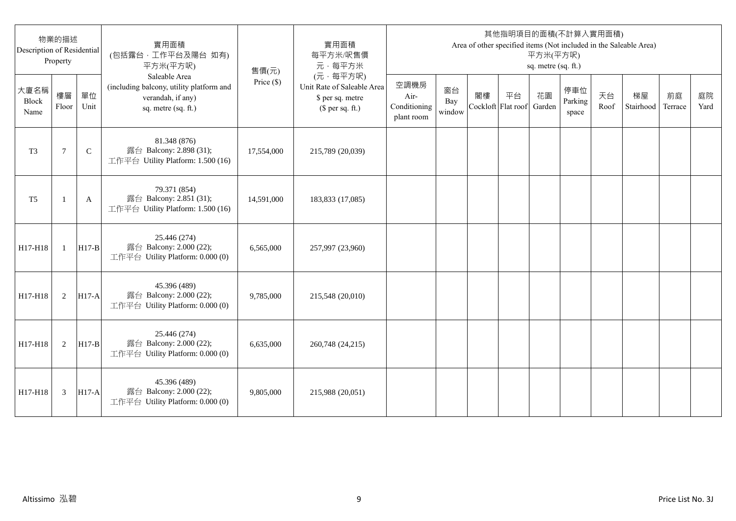| Description of Residential | 物業的描述<br>Property |              | 實用面積<br>(包括露台,工作平台及陽台 如有)<br>平方米(平方呎)                                                                 | 售價(元)        | 實用面積<br>每平方米/呎售價<br>元·每平方米                                                     |                                            |                     |                          |    | 平方米(平方呎)<br>sq. metre (sq. ft.) | 其他指明項目的面積(不計算入實用面積)     |            | Area of other specified items (Not included in the Saleable Area) |               |            |
|----------------------------|-------------------|--------------|-------------------------------------------------------------------------------------------------------|--------------|--------------------------------------------------------------------------------|--------------------------------------------|---------------------|--------------------------|----|---------------------------------|-------------------------|------------|-------------------------------------------------------------------|---------------|------------|
| 大廈名稱<br>Block<br>Name      | 樓層<br>Floor       | 單位<br>Unit   | Saleable Area<br>(including balcony, utility platform and<br>verandah, if any)<br>sq. metre (sq. ft.) | Price $(\$)$ | (元·每平方呎)<br>Unit Rate of Saleable Area<br>\$ per sq. metre<br>$$$ per sq. ft.) | 空調機房<br>Air-<br>Conditioning<br>plant room | 窗台<br>Bay<br>window | 閣樓<br>Cockloft Flat roof | 平台 | 花園<br>Garden                    | 停車位<br>Parking<br>space | 天台<br>Roof | 梯屋<br>Stairhood                                                   | 前庭<br>Terrace | 庭院<br>Yard |
| T <sub>3</sub>             | 7                 | $\mathsf{C}$ | 81.348 (876)<br>露台 Balcony: 2.898 (31);<br>工作平台 Utility Platform: 1.500 (16)                          | 17,554,000   | 215,789 (20,039)                                                               |                                            |                     |                          |    |                                 |                         |            |                                                                   |               |            |
| T <sub>5</sub>             | -1                | A            | 79.371 (854)<br>露台 Balcony: 2.851 (31);<br>工作平台 Utility Platform: 1.500 (16)                          | 14,591,000   | 183,833 (17,085)                                                               |                                            |                     |                          |    |                                 |                         |            |                                                                   |               |            |
| H17-H18                    | $\mathbf{1}$      | $H17-B$      | 25.446 (274)<br>露台 Balcony: 2.000 (22);<br>工作平台 Utility Platform: 0.000 (0)                           | 6,565,000    | 257,997 (23,960)                                                               |                                            |                     |                          |    |                                 |                         |            |                                                                   |               |            |
| H17-H18                    | 2                 | $H17-A$      | 45.396 (489)<br>露台 Balcony: 2.000 (22);<br>工作平台 Utility Platform: 0.000 (0)                           | 9,785,000    | 215,548 (20,010)                                                               |                                            |                     |                          |    |                                 |                         |            |                                                                   |               |            |
| H17-H18                    | 2                 | $H17-B$      | 25.446 (274)<br>露台 Balcony: 2.000 (22);<br>工作平台 Utility Platform: 0.000 (0)                           | 6,635,000    | 260,748 (24,215)                                                               |                                            |                     |                          |    |                                 |                         |            |                                                                   |               |            |
| H17-H18                    | 3                 | $H17-A$      | 45.396 (489)<br>露台 Balcony: 2.000 (22);<br>工作平台 Utility Platform: 0.000 (0)                           | 9,805,000    | 215,988 (20,051)                                                               |                                            |                     |                          |    |                                 |                         |            |                                                                   |               |            |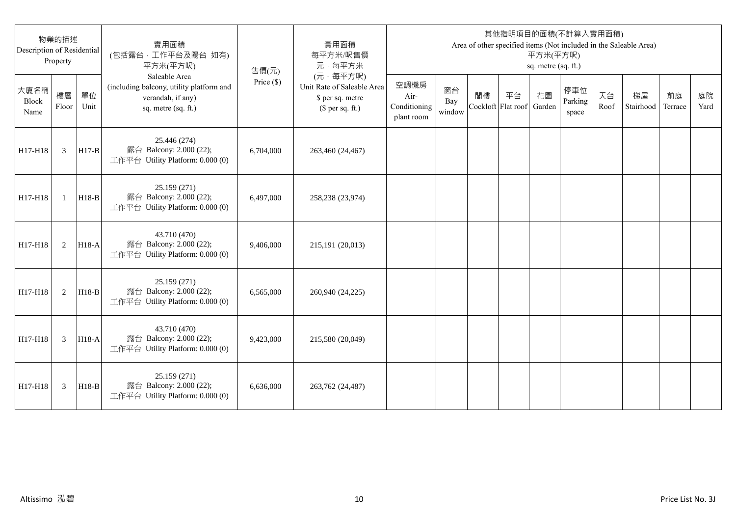| Description of Residential | 物業的描述<br>Property |            | 實用面積<br>(包括露台,工作平台及陽台 如有)<br>平方米(平方呎)                                                                 | 售價(元)        | 實用面積<br>每平方米/呎售價<br>元·每平方米                                                     |                                            |                     |                          |    | 平方米(平方呎)<br>sq. metre (sq. ft.) | 其他指明項目的面積(不計算入實用面積)     |            | Area of other specified items (Not included in the Saleable Area) |               |            |
|----------------------------|-------------------|------------|-------------------------------------------------------------------------------------------------------|--------------|--------------------------------------------------------------------------------|--------------------------------------------|---------------------|--------------------------|----|---------------------------------|-------------------------|------------|-------------------------------------------------------------------|---------------|------------|
| 大廈名稱<br>Block<br>Name      | 樓層<br>Floor       | 單位<br>Unit | Saleable Area<br>(including balcony, utility platform and<br>verandah, if any)<br>sq. metre (sq. ft.) | Price $(\$)$ | (元·每平方呎)<br>Unit Rate of Saleable Area<br>\$ per sq. metre<br>$$$ per sq. ft.) | 空調機房<br>Air-<br>Conditioning<br>plant room | 窗台<br>Bay<br>window | 閣樓<br>Cockloft Flat roof | 平台 | 花園<br>Garden                    | 停車位<br>Parking<br>space | 天台<br>Roof | 梯屋<br>Stairhood                                                   | 前庭<br>Terrace | 庭院<br>Yard |
| H17-H18                    | 3                 | $H17-B$    | 25.446 (274)<br>露台 Balcony: 2.000 (22);<br>工作平台 Utility Platform: 0.000 (0)                           | 6,704,000    | 263,460 (24,467)                                                               |                                            |                     |                          |    |                                 |                         |            |                                                                   |               |            |
| H17-H18                    | $\mathbf{1}$      | $H18-B$    | 25.159 (271)<br>露台 Balcony: 2.000 (22);<br>工作平台 Utility Platform: 0.000 (0)                           | 6.497,000    | 258,238 (23,974)                                                               |                                            |                     |                          |    |                                 |                         |            |                                                                   |               |            |
| H17-H18                    | 2                 | $H18-A$    | 43.710 (470)<br>露台 Balcony: 2.000 (22);<br>工作平台 Utility Platform: 0.000 (0)                           | 9,406,000    | 215,191 (20,013)                                                               |                                            |                     |                          |    |                                 |                         |            |                                                                   |               |            |
| H17-H18                    | 2                 | $H18-B$    | 25.159 (271)<br>露台 Balcony: 2.000 (22);<br>工作平台 Utility Platform: 0.000 (0)                           | 6,565,000    | 260,940 (24,225)                                                               |                                            |                     |                          |    |                                 |                         |            |                                                                   |               |            |
| H17-H18                    | 3                 | $H18-A$    | 43.710 (470)<br>露台 Balcony: 2.000 (22);<br>工作平台 Utility Platform: 0.000 (0)                           | 9,423,000    | 215,580 (20,049)                                                               |                                            |                     |                          |    |                                 |                         |            |                                                                   |               |            |
| H17-H18                    | 3                 | $H18-B$    | 25.159 (271)<br>露台 Balcony: 2.000 (22);<br>工作平台 Utility Platform: 0.000 (0)                           | 6,636,000    | 263,762 (24,487)                                                               |                                            |                     |                          |    |                                 |                         |            |                                                                   |               |            |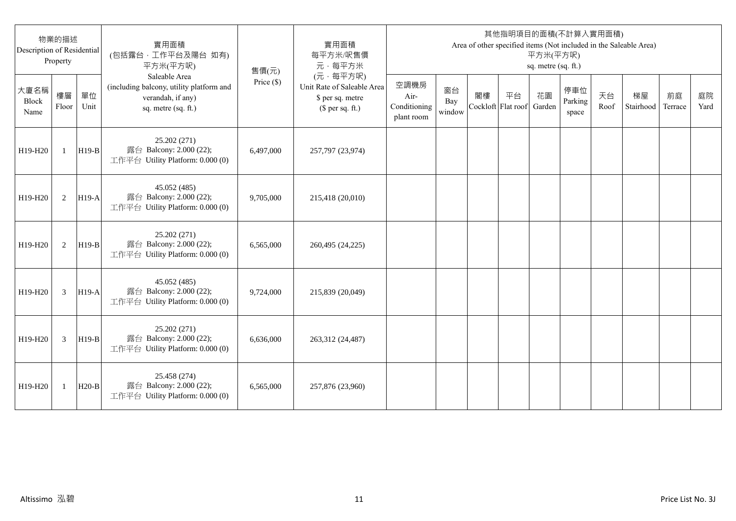| 物業的描述<br>Description of Residential<br>Property |              |            | 實用面積<br>(包括露台,工作平台及陽台 如有)<br>平方米(平方呎)                                                                 | 售價(元)      | 實用面積<br>每平方米/呎售價<br>元·每平方米                                                     | 其他指明項目的面積(不計算入實用面積)<br>Area of other specified items (Not included in the Saleable Area)<br>平方米(平方呎)<br>sq. metre (sq. ft.) |                     |                          |    |              |                         |            |                 |               |            |
|-------------------------------------------------|--------------|------------|-------------------------------------------------------------------------------------------------------|------------|--------------------------------------------------------------------------------|-----------------------------------------------------------------------------------------------------------------------------|---------------------|--------------------------|----|--------------|-------------------------|------------|-----------------|---------------|------------|
| 大廈名稱<br><b>Block</b><br>Name                    | 樓層<br>Floor  | 單位<br>Unit | Saleable Area<br>(including balcony, utility platform and<br>verandah, if any)<br>sq. metre (sq. ft.) | Price (\$) | (元·每平方呎)<br>Unit Rate of Saleable Area<br>\$ per sq. metre<br>$$$ per sq. ft.) | 空調機房<br>Air-<br>Conditioning<br>plant room                                                                                  | 窗台<br>Bay<br>window | 閣樓<br>Cockloft Flat roof | 平台 | 花園<br>Garden | 停車位<br>Parking<br>space | 天台<br>Roof | 梯屋<br>Stairhood | 前庭<br>Terrace | 庭院<br>Yard |
| H19-H20                                         | $\mathbf{1}$ | $H19-B$    | 25.202 (271)<br>露台 Balcony: 2.000 (22);<br>工作平台 Utility Platform: 0.000 (0)                           | 6,497,000  | 257,797 (23,974)                                                               |                                                                                                                             |                     |                          |    |              |                         |            |                 |               |            |
| H19-H20                                         | 2            | $H19-A$    | 45.052 (485)<br>露台 Balcony: 2.000 (22);<br>工作平台 Utility Platform: 0.000 (0)                           | 9,705,000  | 215,418 (20,010)                                                               |                                                                                                                             |                     |                          |    |              |                         |            |                 |               |            |
| H19-H20                                         | 2            | $H19-B$    | 25.202 (271)<br>露台 Balcony: 2.000 (22);<br>工作平台 Utility Platform: 0.000 (0)                           | 6,565,000  | 260,495 (24,225)                                                               |                                                                                                                             |                     |                          |    |              |                         |            |                 |               |            |
| H19-H20                                         | 3            | $H19-A$    | 45.052 (485)<br>露台 Balcony: 2.000 (22);<br>工作平台 Utility Platform: 0.000 (0)                           | 9,724,000  | 215,839 (20,049)                                                               |                                                                                                                             |                     |                          |    |              |                         |            |                 |               |            |
| H19-H20                                         | 3            | $H19-B$    | 25.202 (271)<br>露台 Balcony: 2.000 (22);<br>工作平台 Utility Platform: 0.000 (0)                           | 6,636,000  | 263,312 (24,487)                                                               |                                                                                                                             |                     |                          |    |              |                         |            |                 |               |            |
| H19-H20                                         | 1            | $H20-B$    | 25.458 (274)<br>露台 Balcony: 2.000 (22);<br>工作平台 Utility Platform: 0.000 (0)                           | 6,565,000  | 257,876 (23,960)                                                               |                                                                                                                             |                     |                          |    |              |                         |            |                 |               |            |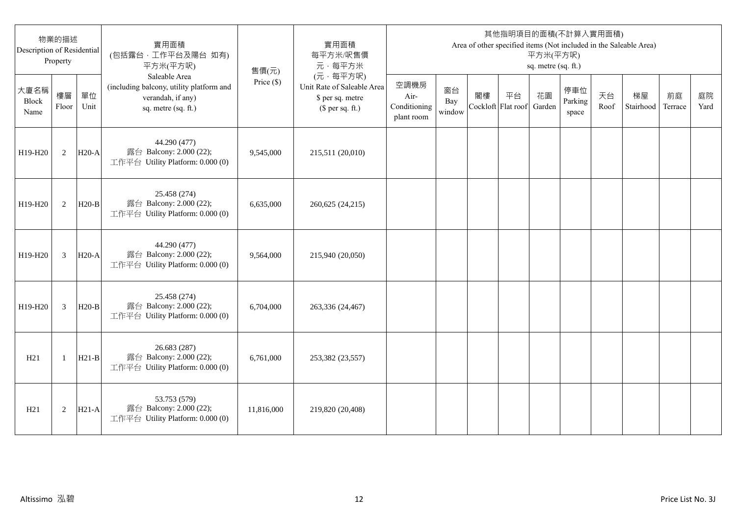| 物業的描述<br>Description of Residential<br>Property |                |            | 實用面積<br>(包括露台,工作平台及陽台 如有)<br>平方米(平方呎)                                                                 | 售價(元)        | 實用面積<br>每平方米/呎售價<br>元·每平方米                                                     | 其他指明項目的面積(不計算入實用面積)<br>Area of other specified items (Not included in the Saleable Area)<br>平方米(平方呎)<br>sq. metre (sq. ft.) |                     |                          |    |              |                         |            |                 |               |            |
|-------------------------------------------------|----------------|------------|-------------------------------------------------------------------------------------------------------|--------------|--------------------------------------------------------------------------------|-----------------------------------------------------------------------------------------------------------------------------|---------------------|--------------------------|----|--------------|-------------------------|------------|-----------------|---------------|------------|
| 大廈名稱<br>Block<br>Name                           | 樓層<br>Floor    | 單位<br>Unit | Saleable Area<br>(including balcony, utility platform and<br>verandah, if any)<br>sq. metre (sq. ft.) | Price $(\$)$ | (元·每平方呎)<br>Unit Rate of Saleable Area<br>\$ per sq. metre<br>$$$ per sq. ft.) | 空調機房<br>Air-<br>Conditioning<br>plant room                                                                                  | 窗台<br>Bay<br>window | 閣樓<br>Cockloft Flat roof | 平台 | 花園<br>Garden | 停車位<br>Parking<br>space | 天台<br>Roof | 梯屋<br>Stairhood | 前庭<br>Terrace | 庭院<br>Yard |
| H19-H20                                         | 2              | $H20-A$    | 44.290 (477)<br>露台 Balcony: 2.000 (22);<br>工作平台 Utility Platform: 0.000 (0)                           | 9,545,000    | 215,511 (20,010)                                                               |                                                                                                                             |                     |                          |    |              |                         |            |                 |               |            |
| H19-H20                                         | 2              | $H20-B$    | 25.458 (274)<br>露台 Balcony: 2.000 (22);<br>工作平台 Utility Platform: 0.000 (0)                           | 6,635,000    | 260,625 (24,215)                                                               |                                                                                                                             |                     |                          |    |              |                         |            |                 |               |            |
| H19-H20                                         | 3              | $H20-A$    | 44.290 (477)<br>露台 Balcony: 2.000 (22);<br>工作平台 Utility Platform: 0.000 (0)                           | 9,564,000    | 215,940 (20,050)                                                               |                                                                                                                             |                     |                          |    |              |                         |            |                 |               |            |
| H19-H20                                         | $\overline{3}$ | $H20-B$    | 25.458 (274)<br>露台 Balcony: 2.000 (22);<br>工作平台 Utility Platform: 0.000 (0)                           | 6,704,000    | 263,336 (24,467)                                                               |                                                                                                                             |                     |                          |    |              |                         |            |                 |               |            |
| H21                                             | -1             | $H21-B$    | 26.683 (287)<br>露台 Balcony: 2.000 (22);<br>工作平台 Utility Platform: 0.000 (0)                           | 6,761,000    | 253,382 (23,557)                                                               |                                                                                                                             |                     |                          |    |              |                         |            |                 |               |            |
| H21                                             | $\overline{2}$ | $H21-A$    | 53.753 (579)<br>露台 Balcony: 2.000 (22);<br>工作平台 Utility Platform: 0.000 (0)                           | 11,816,000   | 219,820 (20,408)                                                               |                                                                                                                             |                     |                          |    |              |                         |            |                 |               |            |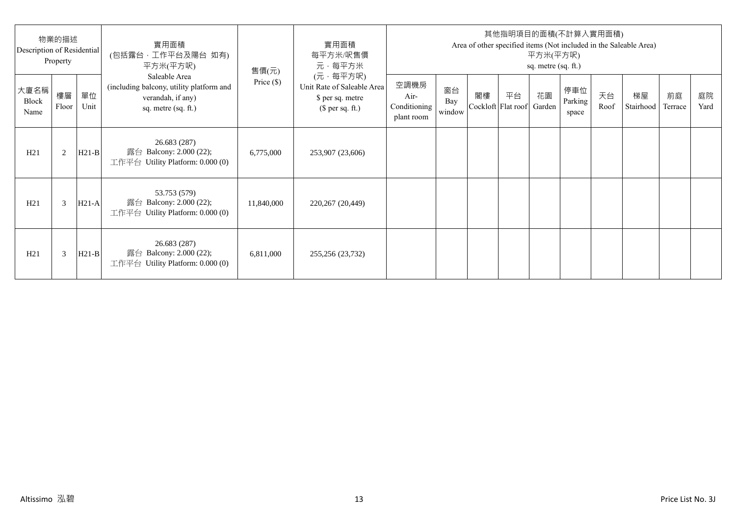| 物業的描述<br>Description of Residential<br>Property |             |            | 實用面積<br>(包括露台·工作平台及陽台 如有)<br>平方米(平方呎)                                                                 | 售價(元)        | 實用面積<br>每平方米/呎售價<br>元·每平方米                                                     | 其他指明項目的面積(不計算入實用面積)<br>Area of other specified items (Not included in the Saleable Area)<br>平方米(平方呎)<br>sq. metre (sq. ft.) |                     |    |                                 |    |                         |            |                 |               |            |
|-------------------------------------------------|-------------|------------|-------------------------------------------------------------------------------------------------------|--------------|--------------------------------------------------------------------------------|-----------------------------------------------------------------------------------------------------------------------------|---------------------|----|---------------------------------|----|-------------------------|------------|-----------------|---------------|------------|
| 大廈名稱<br>Block<br>Name                           | 樓層<br>Floor | 單位<br>Unit | Saleable Area<br>(including balcony, utility platform and<br>verandah, if any)<br>sq. metre (sq. ft.) | Price $(\$)$ | (元·每平方呎)<br>Unit Rate of Saleable Area<br>\$ per sq. metre<br>$$$ per sq. ft.) | 空調機房<br>Air-<br>Conditioning<br>plant room                                                                                  | 窗台<br>Bay<br>window | 閣樓 | 平台<br>Cockloft Flat roof Garden | 花園 | 停車位<br>Parking<br>space | 天台<br>Roof | 梯屋<br>Stairhood | 前庭<br>Terrace | 庭院<br>Yard |
| H21                                             | 2           | $H21-B$    | 26.683 (287)<br>露台 Balcony: 2.000 (22);<br>工作平台 Utility Platform: $0.000(0)$                          | 6,775,000    | 253,907 (23,606)                                                               |                                                                                                                             |                     |    |                                 |    |                         |            |                 |               |            |
| H21                                             | 3           | $H21-A$    | 53.753 (579)<br>露台 Balcony: 2.000 (22);<br>工作平台 Utility Platform: 0.000 (0)                           | 11,840,000   | 220,267 (20,449)                                                               |                                                                                                                             |                     |    |                                 |    |                         |            |                 |               |            |
| H21                                             | 3           | $H21-B$    | 26.683 (287)<br>露台 Balcony: 2.000 (22);<br>工作平台 Utility Platform: $0.000(0)$                          | 6,811,000    | 255,256 (23,732)                                                               |                                                                                                                             |                     |    |                                 |    |                         |            |                 |               |            |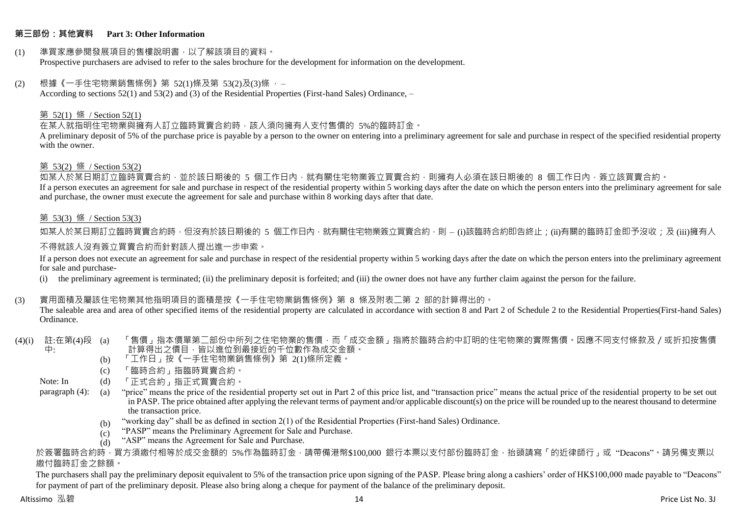# **第三部份:其他資料 Part 3: Other Information**

#### (1) 準買家應參閱發展項目的售樓說明書,以了解該項目的資料。 Prospective purchasers are advised to refer to the sales brochure for the development for information on the development.

#### $(2)$  根據《一手住宅物業銷售條例》第 52(1)條及第 53(2)及(3)條,

According to sections 52(1) and 53(2) and (3) of the Residential Properties (First-hand Sales) Ordinance, –

# 第 52(1) 條 / Section 52(1)

在某人就指明住宅物業與擁有人訂立臨時買賣合約時,該人須向擁有人支付售價的 5%的臨時訂金。

A preliminary deposit of 5% of the purchase price is payable by a person to the owner on entering into a preliminary agreement for sale and purchase in respect of the specified residential property with the owner.

# 第 53(2) 條 / Section 53(2)

—————————————<br>如某人於某日期訂立臨時買賣合約,並於該日期後的 5 個工作日內,就有關住宅物業簽立買賣合約,則擁有人必須在該日期後的 8 個工作日內,簽立該買賣合約。 If a person executes an agreement for sale and purchase in respect of the residential property within 5 working days after the date on which the person enters into the preliminary agreement for sale and purchase, the owner must execute the agreement for sale and purchase within 8 working days after that date.

# 第 53(3) 條 / Section 53(3)

如某人於某日期訂立臨時買賣合約時,但沒有於該日期後的 5 個工作日內,就有關住宅物業簽立買賣合約,則 – (i)該臨時合約即告終止;(ji)有關的臨時訂金即予沒收;及 (iii)擁有人

# 不得就該人沒有簽立買賣合約而針對該人提出進一步申索。

If a person does not execute an agreement for sale and purchase in respect of the residential property within 5 working days after the date on which the person enters into the preliminary agreement for sale and purchase-

(i) the preliminary agreement is terminated; (ii) the preliminary deposit is forfeited; and (iii) the owner does not have any further claim against the person for the failure.

# (3) 實用面積及屬該住宅物業其他指明項目的面積是按《一手住宅物業銷售條例》第 8 條及附表二第 2 部的計算得出的。

The saleable area and area of other specified items of the residential property are calculated in accordance with section 8 and Part 2 of Schedule 2 to the Residential Properties(First-hand Sales) Ordinance.

#### (4)(i) 註:在第(4)段 中: 「售價」指本價單第二部份中所列之住宅物業的售價,而「成交金額」指將於臨時合約中訂明的住宅物業的實際售價。因應不同支付條款及/或折扣按售價 計算得出之價目,皆以進位到最接近的千位數作為成交金額。

- (b) 「工作日」按《一手住宅物業銷售條例》第 2(1)條所定義。
- (c) 「臨時合約」指臨時買賣合約。
- Note: In (d) 「正式合約」指正式買賣合約。

paragraph (4): (a) "price" means the price of the residential property set out in Part 2 of this price list, and "transaction price" means the actual price of the residential property to be set out in PASP. The price obtained after applying the relevant terms of payment and/or applicable discount(s) on the price will be rounded up to the nearest thousand to determine the transaction price.

- (b) "working day" shall be as defined in section 2(1) of the Residential Properties (First-hand Sales) Ordinance.
- $(c)$ "PASP" means the Preliminary Agreement for Sale and Purchase.
- $(d)$ "ASP" means the Agreement for Sale and Purchase.

於簽署臨時合約時,買方須繳付相等於成交金額的 5%作為臨時訂金,請帶備港幣\$100,000 銀行本票以支付部份臨時訂金,抬頭請寫「的近律師行」或"Deacons"。請另備支票以 繳付臨時訂金之餘額。

The purchasers shall pay the preliminary deposit equivalent to 5% of the transaction price upon signing of the PASP. Please bring along a cashiers' order of HK\$100,000 made payable to "Deacons" for payment of part of the preliminary deposit. Please also bring along a cheque for payment of the balance of the preliminary deposit.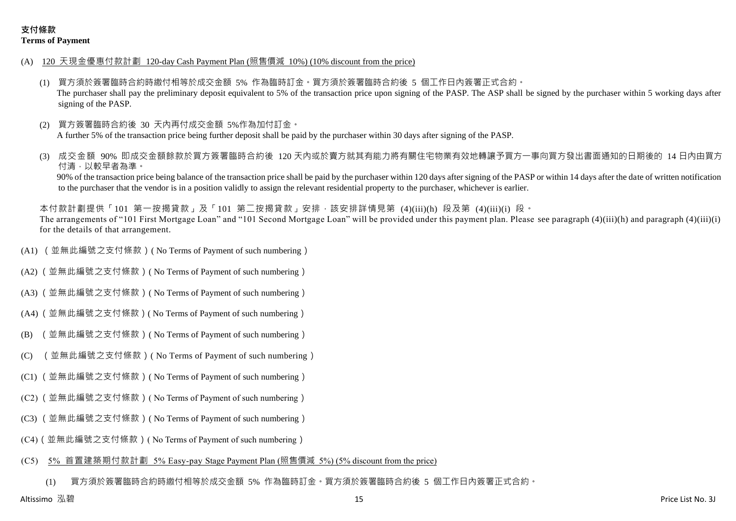- (A) 120 天現金優惠付款計劃 120-day Cash Payment Plan (照售價減 10%) (10% discount from the price)
	- (1) 買方須於簽署臨時合約時繳付相等於成交金額 5% 作為臨時訂金。買方須於簽署臨時合約後 5 個工作日內簽署正式合約。 The purchaser shall pay the preliminary deposit equivalent to 5% of the transaction price upon signing of the PASP. The ASP shall be signed by the purchaser within 5 working days after signing of the PASP.
	- (2) 買方簽署臨時合約後 30 天內再付成交金額 5%作為加付訂金。 A further 5% of the transaction price being further deposit shall be paid by the purchaser within 30 days after signing of the PASP.
	- 成交金額 90% 即成交金額餘款於買方簽署臨時合約後 120 天内或於賣方就其有能力將有關住宅物業有效地轉讓予買方一事向買方發出書面通知的日期後的 14 日內由買方 付清,以較早者為準。

90% of the transaction price being balance of the transaction price shall be paid by the purchaser within 120 days after signing of the PASP or within 14 days after the date of written notification to the purchaser that the vendor is in a position validly to assign the relevant residential property to the purchaser, whichever is earlier.

本付款計劃提供「101 第一按揭貸款」及「101 第二按揭貸款」安排,該安排詳情見第 (4)(iii)(h) 段及第 (4)(iii)(i) 段。 The arrangements of "101 First Mortgage Loan" and "101 Second Mortgage Loan" will be provided under this payment plan. Please see paragraph (4)(iii)(h) and paragraph (4)(iii)(i) for the details of that arrangement.

- (A1) (並無此編號之支付條款)( No Terms of Payment of such numbering)
- (A2) (並無此編號之支付條款)( No Terms of Payment of such numbering)
- (A3) (並無此編號之支付條款)( No Terms of Payment of such numbering)
- (A4) (並無此編號之支付條款)( No Terms of Payment of such numbering)
- (B) (並無此編號之支付條款)( No Terms of Payment of such numbering)
- (C) (並無此編號之支付條款)( No Terms of Payment of such numbering)
- (C1) (並無此編號之支付條款)( No Terms of Payment of such numbering)
- (C2) (並無此編號之支付條款)( No Terms of Payment of such numbering)
- (C3) (並無此編號之支付條款)( No Terms of Payment of such numbering)
- (C4)(並無此編號之支付條款)( No Terms of Payment of such numbering)

# (C5) 5% 首置建築期付款計劃 5% Easy-pay Stage Payment Plan (照售價減 5%) (5% discount from the price)

(1) 買方須於簽署臨時合約時繳付相等於成交金額 5% 作為臨時訂金。買方須於簽署臨時合約後 5 個工作日內簽署正式合約。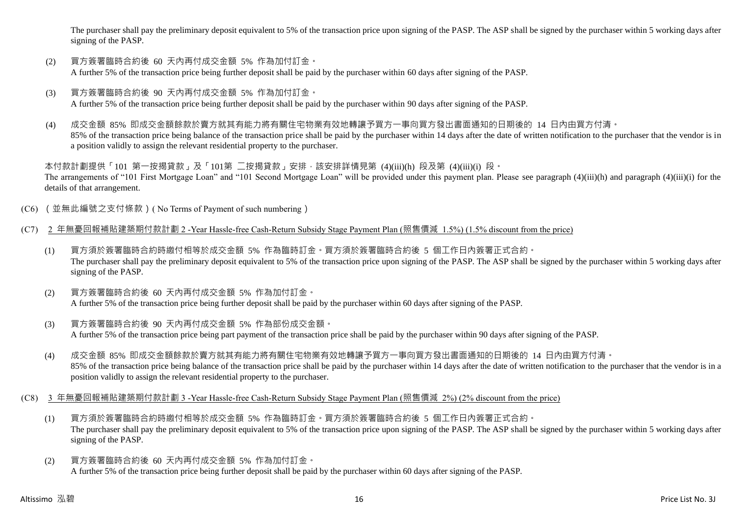The purchaser shall pay the preliminary deposit equivalent to 5% of the transaction price upon signing of the PASP. The ASP shall be signed by the purchaser within 5 working days after signing of the PASP.

- (2) 買方簽署臨時合約後 60 天內再付成交金額 5% 作為加付訂金。 A further 5% of the transaction price being further deposit shall be paid by the purchaser within 60 days after signing of the PASP.
- (3) 買方簽署臨時合約後 90 天內再付成交金額 5% 作為加付訂金。 A further 5% of the transaction price being further deposit shall be paid by the purchaser within 90 days after signing of the PASP.
- (4) 成交金額 85% 即成交金額餘款於賣方就其有能力將有關住宅物業有效地轉讓予買方一事向買方發出書面通知的日期後的 14 日內由買方付清。 85% of the transaction price being balance of the transaction price shall be paid by the purchaser within 14 days after the date of written notification to the purchaser that the vendor is in a position validly to assign the relevant residential property to the purchaser.

本付款計劃提供「101 第一按揭貸款」及「101第 二按揭貸款」安排,該安排詳情見第 (4)(iii)(h) 段及第 (4)(iii)(i) 段。 The arrangements of "101 First Mortgage Loan" and "101 Second Mortgage Loan" will be provided under this payment plan. Please see paragraph (4)(iii)(h) and paragraph (4)(iii)(i) for the details of that arrangement.

- (C6) (並無此編號之支付條款)( No Terms of Payment of such numbering)
- (C7) 2 年無憂回報補貼建築期付款計劃 2 -Year Hassle-free Cash-Return Subsidy Stage Payment Plan (照售價減 1.5%) (1.5% discount from the price)
	- (1) 買方須於簽署臨時合約時繳付相等於成交金額 5% 作為臨時訂金。買方須於簽署臨時合約後 5 個工作日內簽署正式合約。 The purchaser shall pay the preliminary deposit equivalent to 5% of the transaction price upon signing of the PASP. The ASP shall be signed by the purchaser within 5 working days after signing of the PASP.
	- (2) 買方簽署臨時合約後 60 天內再付成交金額 5% 作為加付訂金。 A further 5% of the transaction price being further deposit shall be paid by the purchaser within 60 days after signing of the PASP.
	- (3) 買方簽署臨時合約後 90 天內再付成交金額 5% 作為部份成交金額。 A further 5% of the transaction price being part payment of the transaction price shall be paid by the purchaser within 90 days after signing of the PASP.
	- (4) 成交金額 85% 即成交金額餘款於賣方就其有能力將有關住宅物業有效地轉讓予買方一事向買方發出書面通知的日期後的 14 日內由買方付清。 85% of the transaction price being balance of the transaction price shall be paid by the purchaser within 14 days after the date of written notification to the purchaser that the vendor is in a position validly to assign the relevant residential property to the purchaser.
- (C8) 3 年無憂回報補貼建築期付款計劃 3 -Year Hassle-free Cash-Return Subsidy Stage Payment Plan (照售價減 2%) (2% discount from the price)
	- (1) 買方須於簽署臨時合約時繳付相等於成交金額 5% 作為臨時訂金。買方須於簽署臨時合約後 5 個工作日內簽署正式合約。 The purchaser shall pay the preliminary deposit equivalent to 5% of the transaction price upon signing of the PASP. The ASP shall be signed by the purchaser within 5 working days after signing of the PASP.
	- (2) 買方簽署臨時合約後 60 天內再付成交金額 5% 作為加付訂金。 A further 5% of the transaction price being further deposit shall be paid by the purchaser within 60 days after signing of the PASP.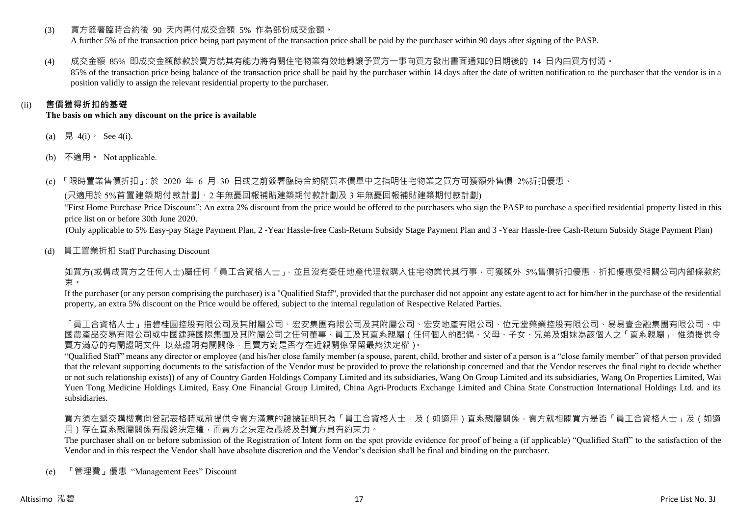(3) 買方簽署臨時合約後 90 天內再付成交金額 5% 作為部份成交金額。

A further 5% of the transaction price being part payment of the transaction price shall be paid by the purchaser within 90 days after signing of the PASP.

(4) 成交金額 85% 即成交金額餘款於賣方就其有能力將有關住宅物業有效地轉讓予買方一事向買方發出書面通知的日期後的 14 日內由買方付清。 85% of the transaction price being balance of the transaction price shall be paid by the purchaser within 14 days after the date of written notification to the purchaser that the vendor is in a

position validly to assign the relevant residential property to the purchaser.

# (ii) **售價獲得折扣的基礎**

**The basis on which any discount on the price is available**

- (a) 見 4(i)  $\text{See } 4(i)$ .
- (b) 不適用。 Not applicable.

(c) 「限時置業售價折扣」:於 2020 年 6 月 30 日或之前簽署臨時合約購買本價單中之指明住宅物業之買方可獲額外售價 2%折扣優惠。

(只適用於 5%首置建築期付款計劃、2 年無憂回報補貼建築期付款計劃及 3 年無憂回報補貼建築期付款計劃)

"First Home Purchase Price Discount": An extra 2% discount from the price would be offered to the purchasers who sign the PASP to purchase a specified residential property listed in this price list on or before 30th June 2020.

(Only applicable to 5% Easy-pay Stage Payment Plan, 2 -Year Hassle-free Cash-Return Subsidy Stage Payment Plan and 3 -Year Hassle-free Cash-Return Subsidy Stage Payment Plan)

(d) 員工置業折扣 Staff Purchasing Discount

如買方(或構成買方之任何人士)屬任何「員工合資格人士」,並且沒有委任地產代理就購入住宅物業代其行事,可獲額外 5%售價折扣優惠,折扣優惠受相關公司內部條款約 束。

If the purchaser (or any person comprising the purchaser) is a "Qualified Staff", provided that the purchaser did not appoint any estate agent to act for him/her in the purchase of the residential property, an extra 5% discount on the Price would be offered, subject to the internal regulation of Respective Related Parties.

「員工合資格人士」再提集的要求,在學院有限公司、社会、社会、社会、社会、社会社科学、社会有限公司、社会科学、科学、科学、科学、科学、科学、科学、科学、科学、科学 國農產品交易有限公司或中國建築國際集團及其附屬公司之任何董事、員工及其直系親屬(任何個人的配偶、父母、子女、兄弟及姐妹為該個人之「直系親屬」,惟須提供令 賣方滿意的有關證明文件 以茲證明有關關係,且賣方對是否存在近親關係保留最終決定權)。

"Qualified Staff" means any director or employee (and his/her close family member (a spouse, parent, child, brother and sister of a person is a "close family member" of that person provided that the relevant supporting documents to the satisfaction of the Vendor must be provided to prove the relationship concerned and that the Vendor reserves the final right to decide whether or not such relationship exists)) of any of Country Garden Holdings Company Limited and its subsidiaries, Wang On Group Limited and its subsidiaries, Wang On Properties Limited, Wai Yuen Tong Medicine Holdings Limited, Easy One Financial Group Limited, China Agri-Products Exchange Limited and China State Construction International Holdings Ltd. and its subsidiaries.

買方須在遞交購樓意向登記表格時或前提供令賣方滿意的證據証明其為「員工合資格人士」及(如適用)直系親屬關係,賣方就相關買方是否「員工合資格人士」及(如適 用)存在直系親屬關係有最終決定權,而賣方之決定為最終及對買方具有約束力。

The purchaser shall on or before submission of the Registration of Intent form on the spot provide evidence for proof of being a (if applicable) "Qualified Staff" to the satisfaction of the Vendor and in this respect the Vendor shall have absolute discretion and the Vendor's decision shall be final and binding on the purchaser.

(e) 「管理費」優惠 "Management Fees" Discount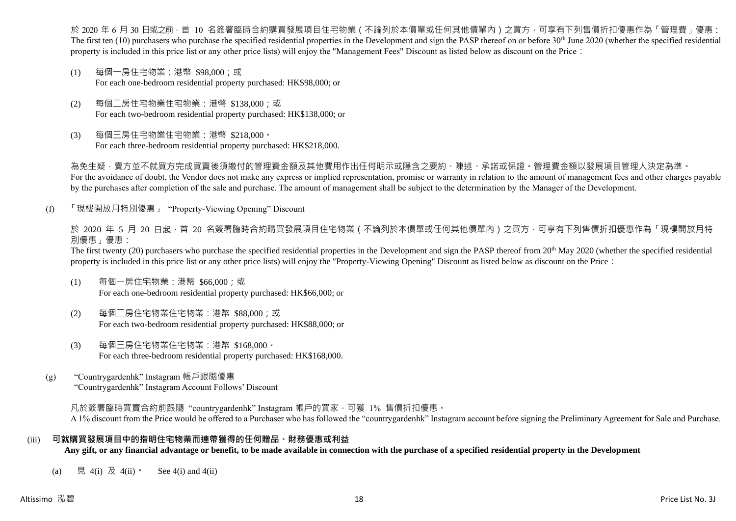於 2020 年 6 月 30 日或之前 · 首 10 名簽署臨時合約購買發展項目住宅物業(不論列於本價單或任何其他價單內)之買方 · 可享有下列售價折扣優惠作為「管理費」優惠: The first ten  $(10)$  purchasers who purchase the specified residential properties in the Development and sign the PASP thereof on or before 30<sup>th</sup> June 2020 (whether the specified residential property is included in this price list or any other price lists) will enjoy the "Management Fees" Discount as listed below as discount on the Price:

- (1) 每個一房住宅物業:港幣 \$98,000;或 For each one-bedroom residential property purchased: HK\$98,000; or
- (2) 每個二房住宅物業住宅物業:港幣 \$138,000;或 For each two-bedroom residential property purchased: HK\$138,000; or
- (3) 每個三房住宅物業住宅物業:港幣 \$218,000。 For each three-bedroom residential property purchased: HK\$218,000.

為免生疑,賣方並不就買方完成買賣後須繳付的管理費金額及其他費用作出任何明示或隱含之要約、陳述、承諾或保證。管理費金額以發展項目管理人決定為準。 For the avoidance of doubt, the Vendor does not make any express or implied representation, promise or warranty in relation to the amount of management fees and other charges payable by the purchases after completion of the sale and purchase. The amount of management shall be subject to the determination by the Manager of the Development.

(f) 「現樓開放月特別優惠」 "Property-Viewing Opening" Discount

於 2020 年 5 月 20 日起 ·首 20 名簽署臨時合約購買發展項目住宅物業 ( 不論列於本價單或任何其他價單內 ) 之買方 · 可享有下列售價折扣優惠作為「現樓開放月特 別優惠」優惠:

The first twenty (20) purchasers who purchase the specified residential properties in the Development and sign the PASP thereof from 20<sup>th</sup> May 2020 (whether the specified residential property is included in this price list or any other price lists) will enjoy the "Property-Viewing Opening" Discount as listed below as discount on the Price:

- (1) 每個一房住宅物業:港幣 \$66,000;或 For each one-bedroom residential property purchased: HK\$66,000; or
- (2) 每個二房住宅物業住宅物業:港幣 \$88,000;或 For each two-bedroom residential property purchased: HK\$88,000; or
- (3) 每個三房住宅物業住宅物業:港幣 \$168,000。 For each three-bedroom residential property purchased: HK\$168,000.
- (g) "Countrygardenhk" Instagram 帳戶跟隨優惠 "Countrygardenhk" Instagram Account Follows' Discount

凡於簽署臨時買賣合約前跟隨"countrygardenhk" Instagram 帳戶的買家,可獲 1% 售價折扣優惠。 A 1% discount from the Price would be offered to a Purchaser who has followed the "countrygardenhk" Instagram account before signing the Preliminary Agreement for Sale and Purchase.

# (iii) **可就購買發展項目中的指明住宅物業而連帶獲得的任何贈品、財務優惠或利益**

**Any gift, or any financial advantage or benefit, to be made available in connection with the purchase of a specified residential property in the Development**

(a) 見 4(i) 及 4(ii)。 See 4(i) and 4(ii)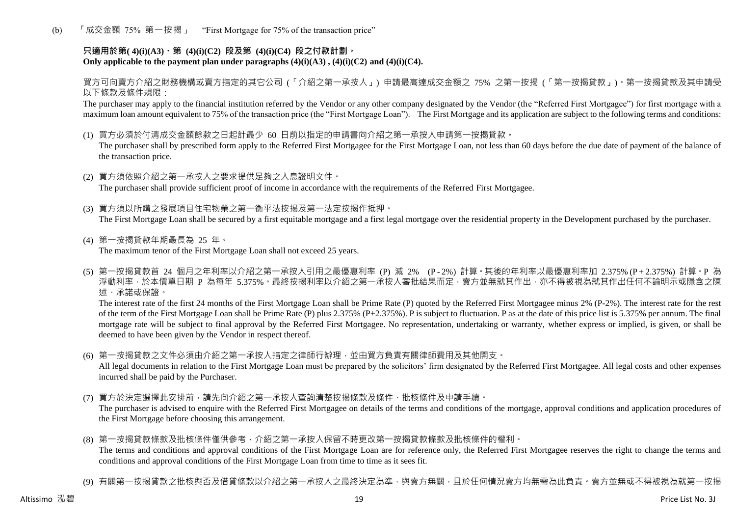(b) 「成交金額 75% 第一按揭」 "First Mortgage for 75% of the transaction price"

# **只適用於第( 4)(i)(A3)、第 (4)(i)(C2) 段及第 (4)(i)(C4) 段之付款計劃。** Only applicable to the payment plan under paragraphs  $(4)(i)(A3)$ ,  $(4)(i)(C2)$  and  $(4)(i)(C4)$ .

買方可向賣方介紹之財務機構或賣方指定的其它公司 (「介紹之第一承按人」) 申請最高達成交金額之 75% 之第一按揭 (「第一按揭貸款」)。第一按揭貸款及其申請受 以下條款及條件規限:

The purchaser may apply to the financial institution referred by the Vendor or any other company designated by the Vendor (the "Referred First Mortgagee") for first mortgage with a maximum loan amount equivalent to 75% of the transaction price (the "First Mortgage Loan"). The First Mortgage and its application are subject to the following terms and conditions:

(1) 買方必須於付清成交金額餘款之日起計最少 60 日前以指定的申請書向介紹之第一承按人申請第一按揭貸款。

The purchaser shall by prescribed form apply to the Referred First Mortgagee for the First Mortgage Loan, not less than 60 days before the due date of payment of the balance of the transaction price.

- (2) 買方須依照介紹之第一承按人之要求提供足夠之入息證明文件。 The purchaser shall provide sufficient proof of income in accordance with the requirements of the Referred First Mortgagee.
- (3) 買方須以所購之發展項目住宅物業之第一衡平法按揭及第一法定按揭作抵押。 The First Mortgage Loan shall be secured by a first equitable mortgage and a first legal mortgage over the residential property in the Development purchased by the purchaser.
- (4) 第一按揭貸款年期最長為 25 年。 The maximum tenor of the First Mortgage Loan shall not exceed 25 years.
- (5) 第一按揭貸款首 24 個月之年利率以介紹之第一承按人引用之最優惠利率 (P) 減 2% (P 2%) 計算。其後的年利率以最優惠利率加 2.375% (P + 2.375%) 計算。P 為 浮動利率,於本價單日期 P 為每年 5.375%。最終按揭利率以介紹之第一承按人審批結果而定,賣方並無就其作出,亦不得被視為就其作出任何不論明示或隱含之陳 述、承諾或保證。

The interest rate of the first 24 months of the First Mortgage Loan shall be Prime Rate (P) quoted by the Referred First Mortgagee minus 2% (P-2%). The interest rate for the rest of the term of the First Mortgage Loan shall be Prime Rate (P) plus 2.375% (P+2.375%). P is subject to fluctuation. P as at the date of this price list is 5.375% per annum. The final mortgage rate will be subject to final approval by the Referred First Mortgagee. No representation, undertaking or warranty, whether express or implied, is given, or shall be deemed to have been given by the Vendor in respect thereof.

(6) 第一按揭貸款之文件必須由介紹之第一承按人指定之律師行辦理,並由買方負責有關律師費用及其他開支。

All legal documents in relation to the First Mortgage Loan must be prepared by the solicitors' firm designated by the Referred First Mortgagee. All legal costs and other expenses incurred shall be paid by the Purchaser.

(7) 買方於決定選擇此安排前,請先向介紹之第一承按人查詢清楚按揭條款及條件、批核條件及申請手續。

The purchaser is advised to enquire with the Referred First Mortgagee on details of the terms and conditions of the mortgage, approval conditions and application procedures of the First Mortgage before choosing this arrangement.

- (8) 第一按揭貸款條款及批核條件僅供參考,介紹之第一承按人保留不時更改第一按揭貸款條款及批核條件的權利。 The terms and conditions and approval conditions of the First Mortgage Loan are for reference only, the Referred First Mortgagee reserves the right to change the terms and conditions and approval conditions of the First Mortgage Loan from time to time as it sees fit.
- (9) 有關第一按揭貸款之批核與否及借貸條款以介紹之第一承按人之最終決定為準,與賣方無關,目於任何情況賣方均無需為此負責。賣方並無或不得被視為就第一按揭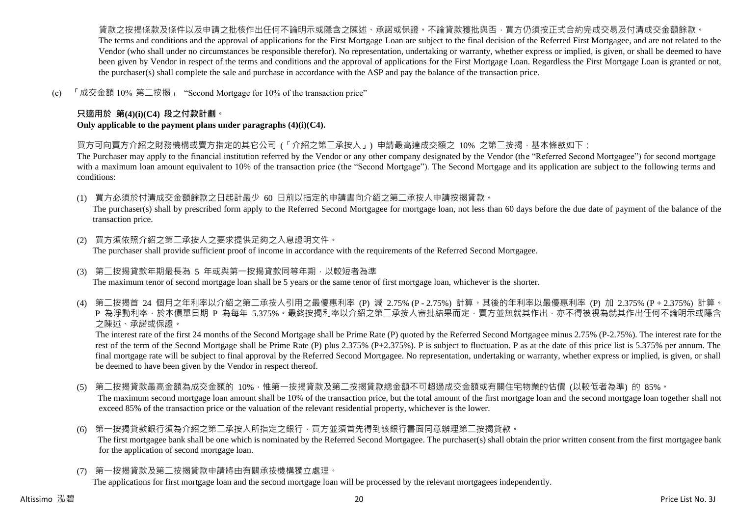貨款之按揭條款及條件以及申請之批核作出任何不論明示或隱含之陳述、承諾或保證。不論貸款獲批與否,買方仍須按正式合約完成交易及付清成交金額餘款。 The terms and conditions and the approval of applications for the First Mortgage Loan are subject to the final decision of the Referred First Mortgagee, and are not related to the Vendor (who shall under no circumstances be responsible therefor). No representation, undertaking or warranty, whether express or implied, is given, or shall be deemed to have been given by Vendor in respect of the terms and conditions and the approval of applications for the First Mortgage Loan. Regardless the First Mortgage Loan is granted or not, the purchaser(s) shall complete the sale and purchase in accordance with the ASP and pay the balance of the transaction price.

(c) 「成交金額 10% 第二按揭」 "Second Mortgage for 10% of the transaction price"

# **只適用於 第(4)(i)(C4) 段之付款計劃。**

**Only applicable to the payment plans under paragraphs (4)(i)(C4).**

買方可向賣方介紹之財務機構或賣方指定的其它公司 (「介紹之第二承按人」) 申請最高達成交額之 10% 之第二按揭,基本條款如下:

The Purchaser may apply to the financial institution referred by the Vendor or any other company designated by the Vendor (the "Referred Second Mortgagee") for second mortgage with a maximum loan amount equivalent to 10% of the transaction price (the "Second Mortgage"). The Second Mortgage and its application are subject to the following terms and conditions:

(1) 買方必須於付清成交金額餘款之日起計最少 60 日前以指定的申請書向介紹之第二承按人申請按揭貸款。

The purchaser(s) shall by prescribed form apply to the Referred Second Mortgagee for mortgage loan, not less than 60 days before the due date of payment of the balance of the transaction price.

- (2) 買方須依照介紹之第二承按人之要求提供足夠之入息證明文件。 The purchaser shall provide sufficient proof of income in accordance with the requirements of the Referred Second Mortgagee.
- (3) 第二按揭貸款年期最長為 5 年或與第一按揭貸款同等年期,以較短者為準 The maximum tenor of second mortgage loan shall be 5 years or the same tenor of first mortgage loan, whichever is the shorter.
- (4) 第二按揭首 24 個月之年利率以介紹之第二承按人引用之最優惠利率 (P) 減 2.75% (P 2.75%) 計算。其後的年利率以最優惠利率 (P) 加 2.375% (P + 2.375%) 計算。 P 為浮動利率,於本價單日期 P 為每年 5.375%。最終按揭利率以介紹之第二承按人審批結果而定,賣方並無就其作出,亦不得被視為就其作出任何不論明示或隱含 之陳述、承諾或保證。

The interest rate of the first 24 months of the Second Mortgage shall be Prime Rate (P) quoted by the Referred Second Mortgagee minus 2.75% (P-2.75%). The interest rate for the rest of the term of the Second Mortgage shall be Prime Rate (P) plus 2.375% (P+2.375%). P is subject to fluctuation. P as at the date of this price list is 5.375% per annum. The final mortgage rate will be subject to final approval by the Referred Second Mortgagee. No representation, undertaking or warranty, whether express or implied, is given, or shall be deemed to have been given by the Vendor in respect thereof.

- (5) 第二按揭貸款最高金額為成交金額的 10%,惟第一按揭貸款及第二按揭貸款總金額不可超過成交金額或有關住宅物業的估價 (以較低者為準) 的 85%。 The maximum second mortgage loan amount shall be 10% of the transaction price, but the total amount of the first mortgage loan and the second mortgage loan together shall not exceed 85% of the transaction price or the valuation of the relevant residential property, whichever is the lower.
- (6) 第一按揭貸款銀行須為介紹之第二承按人所指定之銀行,買方並須首先得到該銀行書面同意辦理第二按揭貸款。 The first mortgagee bank shall be one which is nominated by the Referred Second Mortgagee. The purchaser(s) shall obtain the prior written consent from the first mortgagee bank for the application of second mortgage loan.
- (7) 第一按揭貸款及第二按揭貸款申請將由有關承按機構獨立處理。

The applications for first mortgage loan and the second mortgage loan will be processed by the relevant mortgagees independently.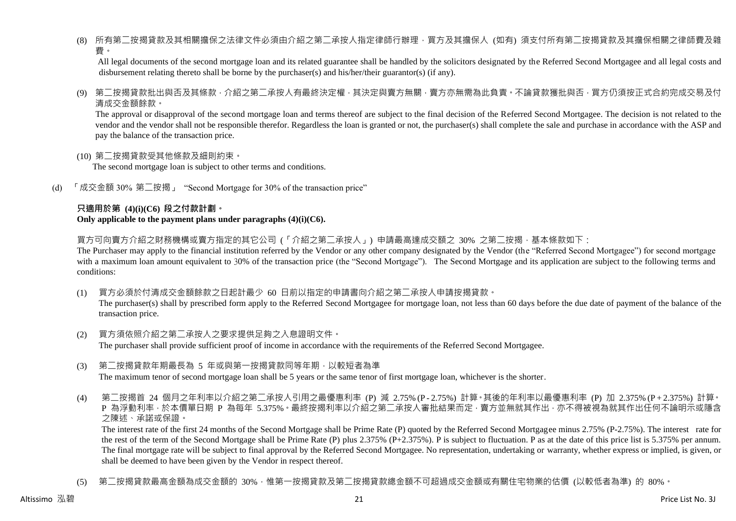(8) 所有第二按揭貸款及其相關擔保之法律文件必須由介紹之第二承按人指定律師行辦理,買方及其擔保人 (如有) 須支付所有第二按揭貸款及其擔保相關之律師費及雜 費。

All legal documents of the second mortgage loan and its related guarantee shall be handled by the solicitors designated by the Referred Second Mortgagee and all legal costs and disbursement relating thereto shall be borne by the purchaser(s) and his/her/their guarantor(s) (if any).

(9) 第二按揭貸款批出與否及其條款,介紹之第二承按人有最終決定權,其決定與賣方無關,賣方亦無需為此負責。不論貸款獲批與否,買方仍須按正式合約完成交易及付 清成交金額餘款。

The approval or disapproval of the second mortgage loan and terms thereof are subject to the final decision of the Referred Second Mortgagee. The decision is not related to the vendor and the vendor shall not be responsible therefor. Regardless the loan is granted or not, the purchaser(s) shall complete the sale and purchase in accordance with the ASP and pay the balance of the transaction price.

(10) 第二按揭貸款受其他條款及細則約束。

The second mortgage loan is subject to other terms and conditions.

(d) 「成交金額 30% 第二按揭」 "Second Mortgage for 30% of the transaction price"

#### **只適用於第 (4)(i)(C6) 段之付款計劃。 Only applicable to the payment plans under paragraphs (4)(i)(C6).**

買方可向賣方介紹之財務機構或賣方指定的其它公司 (「介紹之第二承按人」) 申請最高達成交額之 30% 之第二按揭 · 基本條款如下:

The Purchaser may apply to the financial institution referred by the Vendor or any other company designated by the Vendor (the "Referred Second Mortgagee") for second mortgage with a maximum loan amount equivalent to 30% of the transaction price (the "Second Mortgage"). The Second Mortgage and its application are subject to the following terms and conditions:

(1) 買方必須於付清成交金額餘款之日起計最少 60 日前以指定的申請書向介紹之第二承按人申請按揭貸款。

The purchaser(s) shall by prescribed form apply to the Referred Second Mortgagee for mortgage loan, not less than 60 days before the due date of payment of the balance of the transaction price.

- (2) 買方須依照介紹之第二承按人之要求提供足夠之入息證明文件。 The purchaser shall provide sufficient proof of income in accordance with the requirements of the Referred Second Mortgagee.
- (3) 第二按揭貸款年期最長為 5 年或與第一按揭貸款同等年期,以較短者為準 The maximum tenor of second mortgage loan shall be 5 years or the same tenor of first mortgage loan, whichever is the shorter.
- (4) 第二按揭首 24 個月之年利率以介紹之第二承按人引用之最優惠利率 (P) 減 2.75% (P 2.75%) 計算。其後的年利率以最優惠利率 (P) 加 2.375% (P + 2.375%) 計算。 P 為浮動利率,於本價單日期 P 為每年 5.375%。最終按揭利率以介紹之第二承按人審批結果而定,賣方並無就其作出,亦不得被視為就其作出任何不論明示或隱含 之陳述、承諾或保證。

The interest rate of the first 24 months of the Second Mortgage shall be Prime Rate (P) quoted by the Referred Second Mortgagee minus 2.75% (P-2.75%). The interest rate for the rest of the term of the Second Mortgage shall be Prime Rate (P) plus 2.375% (P+2.375%). P is subject to fluctuation. P as at the date of this price list is 5.375% per annum. The final mortgage rate will be subject to final approval by the Referred Second Mortgagee. No representation, undertaking or warranty, whether express or implied, is given, or shall be deemed to have been given by the Vendor in respect thereof.

(5) 第二按揭貸款最高金額為成交金額的 30%,惟第一按揭貸款及第二按揭貸款總金額不可超過成交金額或有關住宅物業的估價 (以較低者為準) 的 80%。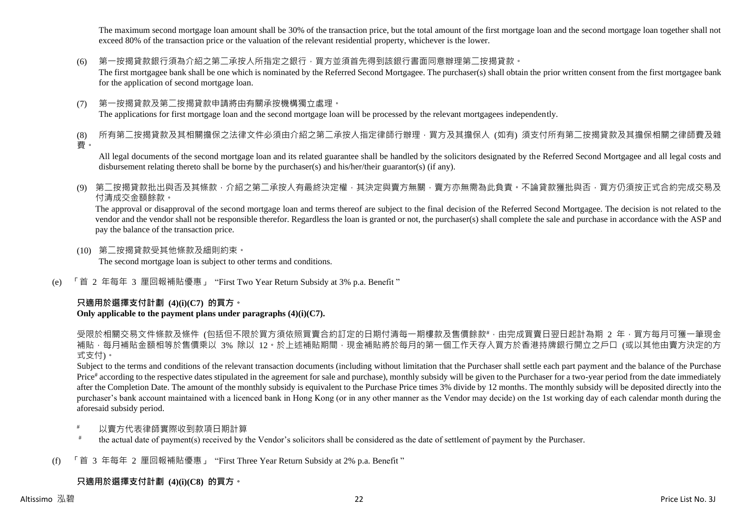The maximum second mortgage loan amount shall be 30% of the transaction price, but the total amount of the first mortgage loan and the second mortgage loan together shall not exceed 80% of the transaction price or the valuation of the relevant residential property, whichever is the lower.

(6) 第一按揭貸款銀行須為介紹之第二承按人所指定之銀行,買方並須首先得到該銀行書面同意辦理第二按揭貸款。

The first mortgagee bank shall be one which is nominated by the Referred Second Mortgagee. The purchaser(s) shall obtain the prior written consent from the first mortgagee bank for the application of second mortgage loan.

(7) 第一按揭貸款及第二按揭貸款申請將由有關承按機構獨立處理。 The applications for first mortgage loan and the second mortgage loan will be processed by the relevant mortgagees independently.

(8) 所有第二按揭貸款及其相關擔保之法律文件必須由介紹之第二承按人指定律師行辦理,買方及其擔保人 (如有) 須支付所有第二按揭貸款及其擔保相關之律師費及雜 費。

All legal documents of the second mortgage loan and its related guarantee shall be handled by the solicitors designated by the Referred Second Mortgagee and all legal costs and disbursement relating thereto shall be borne by the purchaser(s) and his/her/their guarantor(s) (if any).

(9) 第二按揭貸款批出與否及其條款,介紹之第二承按人有最終決定權,其決定與賣方無關,賣方亦無需為此負責。不論貸款獲批與否,買方仍須按正式合約完成交易及 付清成交金額餘款。

The approval or disapproval of the second mortgage loan and terms thereof are subject to the final decision of the Referred Second Mortgagee. The decision is not related to the vendor and the vendor shall not be responsible therefor. Regardless the loan is granted or not, the purchaser(s) shall complete the sale and purchase in accordance with the ASP and pay the balance of the transaction price.

- (10) 第二按揭貸款受其他條款及細則約束。 The second mortgage loan is subject to other terms and conditions.
- (e) 「首 2 年每年 3 厘回報補貼優惠」 "First Two Year Return Subsidy at 3% p.a. Benefit "

# **只適用於選擇支付計劃 (4)(i)(C7) 的買方。**

# **Only applicable to the payment plans under paragraphs (4)(i)(C7).**

受限於相關交易文件條款及條件 (包括但不限於買方須依照買賣合約訂定的日期付清每一期樓款及售價餘款#,由完成買賣日翌日起計為期 2 年,買方每月可獲一筆現金 補貼,每月補貼金額相等於售價乘以 3% 除以 12。於上述補貼期間,現金補貼將於每月的第一個工作天存入買方於香港持牌銀行開立之戶口 (或以其他由賣方決定的方 式支付)。

Subject to the terms and conditions of the relevant transaction documents (including without limitation that the Purchaser shall settle each part payment and the balance of the Purchase Price<sup>#</sup> according to the respective dates stipulated in the agreement for sale and purchase), monthly subsidy will be given to the Purchaser for a two-year period from the date immediately after the Completion Date. The amount of the monthly subsidy is equivalent to the Purchase Price times 3% divide by 12 months. The monthly subsidy will be deposited directly into the purchaser's bank account maintained with a licenced bank in Hong Kong (or in any other manner as the Vendor may decide) on the 1st working day of each calendar month during the aforesaid subsidy period.

- 以賣方代表律師實際收到款項日期計算
- # the actual date of payment(s) received by the Vendor's solicitors shall be considered as the date of settlement of payment by the Purchaser.
- (f) 「首 3 年每年 2 厘回報補貼優惠」 "First Three Year Return Subsidy at 2% p.a. Benefit "

# **只適用於選擇支付計劃 (4)(i)(C8) 的買方。**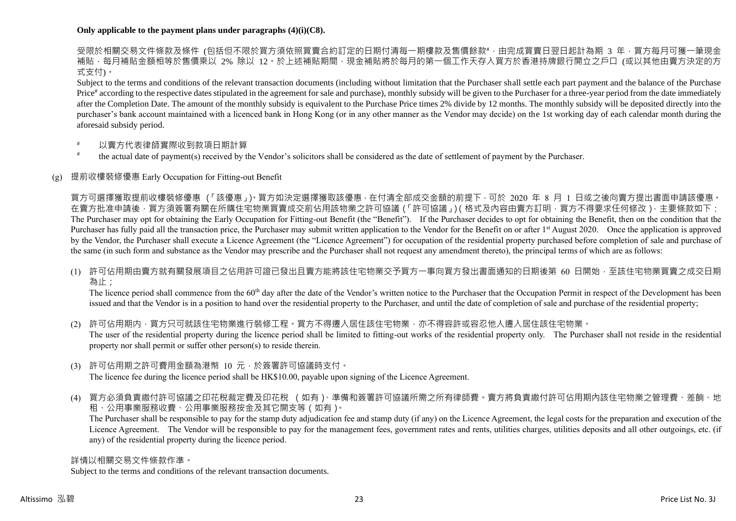#### **Only applicable to the payment plans under paragraphs (4)(i)(C8).**

受限於相關交易文件條款及條件 (包括但不限於買方須依照買賣合約訂定的日期付清每一期樓款及售價餘款#,由完成買賣日翌日起計為期 3 年,買方每月可獲一筆現金 補貼,每月補貼金額相等於售價乘以 2% 除以 12。於上述補貼期間,現金補貼將於每月的第一個工作天存入買方於香港持牌銀行開立之戶口 (或以其他由賣方決定的方 式支付)。

Subject to the terms and conditions of the relevant transaction documents (including without limitation that the Purchaser shall settle each part payment and the balance of the Purchase Price<sup>#</sup> according to the respective dates stipulated in the agreement for sale and purchase), monthly subsidy will be given to the Purchaser for a three-year period from the date immediately after the Completion Date. The amount of the monthly subsidy is equivalent to the Purchase Price times 2% divide by 12 months. The monthly subsidy will be deposited directly into the purchaser's bank account maintained with a licenced bank in Hong Kong (or in any other manner as the Vendor may decide) on the 1st working day of each calendar month during the aforesaid subsidy period.

- 以賣方代表律師實際收到款項日期計算
- # the actual date of payment(s) received by the Vendor's solicitors shall be considered as the date of settlement of payment by the Purchaser.

# (g) 提前收樓裝修優惠 Early Occupation for Fitting-out Benefit

買方可選擇獲取提前收樓裝修優惠 (「該優惠」)。買方如決定選擇獲取該優惠,在付清全部成交金額的前提下,可於 2020 年 8 月 1 日或之後向賣方提出書面申請該優惠。 在賣方批准申請後,買方須簽署有關在所購住宅物業買賣成交前佔用該物業之許可協議(「許可協議」)(格式及內容由賣方訂明,買方不得要求任何修改),主要條款如下: The Purchaser may opt for obtaining the Early Occupation for Fitting-out Benefit (the "Benefit"). If the Purchaser decides to opt for obtaining the Benefit, then on the condition that the Purchaser has fully paid all the transaction price, the Purchaser may submit written application to the Vendor for the Benefit on or after 1<sup>st</sup> August 2020. Once the application is approved by the Vendor, the Purchaser shall execute a Licence Agreement (the "Licence Agreement") for occupation of the residential property purchased before completion of sale and purchase of the same (in such form and substance as the Vendor may prescribe and the Purchaser shall not request any amendment thereto), the principal terms of which are as follows:

(1) 許可佔用期由賣方就有關發展項目之佔用許可證已發出且賣方能將該住宅物業交予買方一事向買方發出書面通知的日期後第 60 日開始,至該住宅物業買賣之成交日期 為止;

The licence period shall commence from the 60<sup>th</sup> day after the date of the Vendor's written notice to the Purchaser that the Occupation Permit in respect of the Development has been issued and that the Vendor is in a position to hand over the residential property to the Purchaser, and until the date of completion of sale and purchase of the residential property;

- (2) 許可佔用期内,買方只可就該住宅物業進行裝修工程。買方不得遷入居住該住宅物業,亦不得容許或容忍他人遷入居住該住宅物業。 The user of the residential property during the licence period shall be limited to fitting-out works of the residential property only. The Purchaser shall not reside in the residential property nor shall permit or suffer other person(s) to reside therein.
- (3) 許可佔用期之許可費用金額為港幣 10 元,於簽署許可協議時支付。 The licence fee during the licence period shall be HK\$10.00, payable upon signing of the Licence Agreement.
- (4) 買方必須負責繳付許可協議之印花稅裁定費及印花稅 (如有)、準備和簽署許可協議所需之所有律師費。賣方將負責繳付許可佔用期內該住宅物業之管理費、差餉、地 租、公用事業服務收費、公用事業服務按金及其它開支等(如有)。

The Purchaser shall be responsible to pay for the stamp duty adjudication fee and stamp duty (if any) on the Licence Agreement, the legal costs for the preparation and execution of the Licence Agreement. The Vendor will be responsible to pay for the management fees, government rates and rents, utilities charges, utilities deposits and all other outgoings, etc. (if any) of the residential property during the licence period.

#### 詳情以相關交易文件條款作準。

Subject to the terms and conditions of the relevant transaction documents.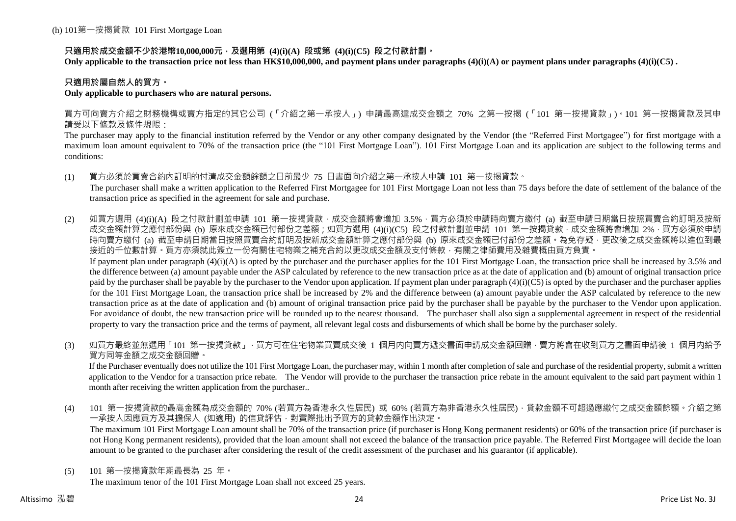# **只適用於成交金額不少於港幣10,000,000元,及選用第 (4)(i)(A) 段或第 (4)(i)(C5) 段之付款計劃。**

**Only applicable to the transaction price not less than HK\$10,000,000, and payment plans under paragraphs (4)(i)(A) or payment plans under paragraphs (4)(i)(C5) .**

# **只適用於屬自然人的買方。**

#### **Only applicable to purchasers who are natural persons.**

買方可向賣方介紹之財務機構或賣方指定的其它公司 (「介紹之第一承按人」) 申請最高達成交金額之 70% 之第一按揭 (「101 第一按揭貸款」)。101 第一按揭貸款及其申 請受以下條款及條件規限:

The purchaser may apply to the financial institution referred by the Vendor or any other company designated by the Vendor (the "Referred First Mortgagee") for first mortgage with a maximum loan amount equivalent to 70% of the transaction price (the "101 First Mortgage Loan"). 101 First Mortgage Loan and its application are subject to the following terms and conditions:

(1) 買方必須於買賣合約內訂明的付清成交金額餘額之日前最少 75 日書面向介紹之第一承按人申請 101 第一按揭貸款。

The purchaser shall make a written application to the Referred First Mortgagee for 101 First Mortgage Loan not less than 75 days before the date of settlement of the balance of the transaction price as specified in the agreement for sale and purchase.

(2) 如買方選用 (4)(i)(A) 段之付款計劃並申請 101 第一按揭貸款,成交金額將會增加 3.5%,買方必須於申請時向賣方繳付 (a) 截至申請日期當日按照買賣合約訂明及按新 成交金額計算之應付部份與 (b) 原來成交金額已付部份之差額;如買方選用 (4)(i)(C5) 段之付款計劃並申請 101 第一按揭貸款,成交金額將會增加 2%,買方必須於申請 時向賣方繳付 (a) 截至申請日期當日按照買賣合約訂明及按新成交金額計算之應付部份與 (b) 原來成交金額已付部份之差額。為免存疑,更改後之成交金額將以進位到最 接近的千位數計算。買方亦須就此簽立一份有關住宅物業之補充合約以更改成交金額及支付條款,有關之律師費用及雜費概由買方負責。 If payment plan under paragraph  $(4)(i)(A)$  is opted by the purchaser and the purchaser applies for the 101 First Mortgage Loan, the transaction price shall be increased by 3.5% and

the difference between (a) amount payable under the ASP calculated by reference to the new transaction price as at the date of application and (b) amount of original transaction price paid by the purchaser shall be payable by the purchaser to the Vendor upon application. If payment plan under paragraph  $(4)(i)(C5)$  is opted by the purchaser and the purchaser applies for the 101 First Mortgage Loan, the transaction price shall be increased by 2% and the difference between (a) amount payable under the ASP calculated by reference to the new transaction price as at the date of application and (b) amount of original transaction price paid by the purchaser shall be payable by the purchaser to the Vendor upon application. For avoidance of doubt, the new transaction price will be rounded up to the nearest thousand. The purchaser shall also sign a supplemental agreement in respect of the residential property to vary the transaction price and the terms of payment, all relevant legal costs and disbursements of which shall be borne by the purchaser solely.

(3) 如買方最終並無選用「101 第一按揭貸款」,買方可在住宅物業買賣成交後 1 個月内向賣方遞交書面申請成交金額回贈,賣方將會在收到買方之書面申請後 1 個月内給予 買方同等金額之成交金額回贈。

If the Purchaser eventually does not utilize the 101 First Mortgage Loan, the purchaser may, within 1 month after completion of sale and purchase of the residential property, submit a written application to the Vendor for a transaction price rebate. The Vendor will provide to the purchaser the transaction price rebate in the amount equivalent to the said part payment within 1 month after receiving the written application from the purchaser..

(4) 101 第一按揭貸款的最高金額為成交金額的 70% (若買方為香港永久性居民) 或 60% (若買方為非香港永久性居民),貸款金額不可超過應繳付之成交金額餘額。介紹之第 一承按人因應買方及其擔保人 (如適用) 的信貸評估,對實際批出予買方的貸款金額作出決定。

The maximum 101 First Mortgage Loan amount shall be 70% of the transaction price (if purchaser is Hong Kong permanent residents) or 60% of the transaction price (if purchaser is not Hong Kong permanent residents), provided that the loan amount shall not exceed the balance of the transaction price payable. The Referred First Mortgagee will decide the loan amount to be granted to the purchaser after considering the result of the credit assessment of the purchaser and his guarantor (if applicable).

(5) 101 第一按揭貸款年期最長為 25 年。

The maximum tenor of the 101 First Mortgage Loan shall not exceed 25 years.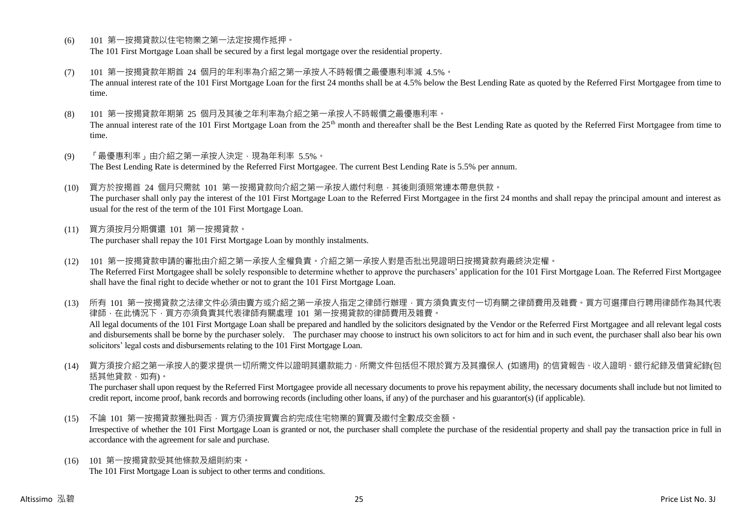- (6) 101 第一按揭貸款以住宅物業之第一法定按揭作抵押。 The 101 First Mortgage Loan shall be secured by a first legal mortgage over the residential property.
- (7) 101 第一按揭貸款年期首 24 個月的年利率為介紹之第一承按人不時報價之最優惠利率減 4.5%。 The annual interest rate of the 101 First Mortgage Loan for the first 24 months shall be at 4.5% below the Best Lending Rate as quoted by the Referred First Mortgagee from time to time.
- (8) 101 第一按揭貸款年期第 25 個月及其後之年利率為介紹之第一承按人不時報價之最優惠利率。 The annual interest rate of the 101 First Mortgage Loan from the 25<sup>th</sup> month and thereafter shall be the Best Lending Rate as quoted by the Referred First Mortgagee from time to time.
- (9) 「最優惠利率」由介紹之第一承按人決定,現為年利率 5.5%。 The Best Lending Rate is determined by the Referred First Mortgagee. The current Best Lending Rate is 5.5% per annum.
- (10) 買方於按揭首 24 個月只需就 101 第一按揭貸款向介紹之第一承按人繳付利息,其後則須照常連本帶息供款。 The purchaser shall only pay the interest of the 101 First Mortgage Loan to the Referred First Mortgagee in the first 24 months and shall repay the principal amount and interest as usual for the rest of the term of the 101 First Mortgage Loan.
- (11) 買方須按月分期償還 101 第一按揭貸款。 The purchaser shall repay the 101 First Mortgage Loan by monthly instalments.
- (12) 101 第一按揭貸款申請的審批由介紹之第一承按人全權負責。介紹之第一承按人對是否批出見證明日按揭貸款有最終決定權。 The Referred First Mortgagee shall be solely responsible to determine whether to approve the purchasers' application for the 101 First Mortgage Loan. The Referred First Mortgagee shall have the final right to decide whether or not to grant the 101 First Mortgage Loan.

(13) 所有 101 第一按揭貸款之法律文件必須由賣方或介紹之第一承按人指定之律師行辦理,買方須負責支付一切有關之律師費用及雜費。買方可選擇自行聘用律師作為其代表 律師,在此情況下,買方亦須負責其代表律師有關處理 101 第一按揭貸款的律師費用及雜費。 All legal documents of the 101 First Mortgage Loan shall be prepared and handled by the solicitors designated by the Vendor or the Referred First Mortgagee and all relevant legal costs and disbursements shall be borne by the purchaser solely. The purchaser may choose to instruct his own solicitors to act for him and in such event, the purchaser shall also bear his own solicitors' legal costs and disbursements relating to the 101 First Mortgage Loan.

(14) 買方須按介紹之第一承按人的要求提供一切所需文件以證明其還款能力,所需文件包括但不限於買方及其擔保人 (如適用) 的信貸報告、收入證明、銀行紀錄及借貸紀錄(包 括其他貸款,如有)。

The purchaser shall upon request by the Referred First Mortgagee provide all necessary documents to prove his repayment ability, the necessary documents shall include but not limited to credit report, income proof, bank records and borrowing records (including other loans, if any) of the purchaser and his guarantor(s) (if applicable).

- (15) 不論 101 第一按揭貸款獲批與否,買方仍須按買賣合約完成住宅物業的買賣及繳付全數成交金額。 Irrespective of whether the 101 First Mortgage Loan is granted or not, the purchaser shall complete the purchase of the residential property and shall pay the transaction price in full in accordance with the agreement for sale and purchase.
- (16) 101 第一按揭貸款受其他條款及細則約束。 The 101 First Mortgage Loan is subject to other terms and conditions.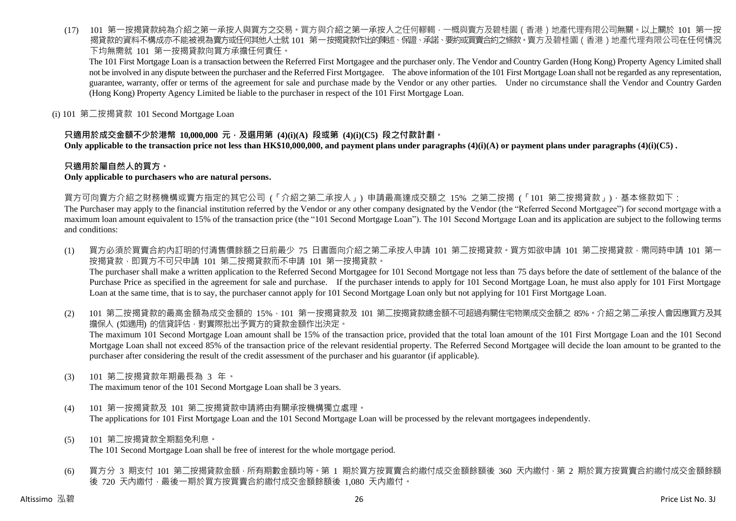(17) 101 第一按揭貸款純為介紹之第一承按人與買方之交易。買方與介紹之第一承按人之任何轇輵,一概與賣方及碧桂園(香港)地產代理有限公司無關。以上關於 101 第一按 揭貸款的資料不構成亦不能被視為賣方或任何其他人士就 101 第一按揭貸款作出的陳述、保證、承諾、要約或買賣合約之條款。賣方及碧桂園 ( 香港 ) 地產代理有限公司在任何情況 下均無需就 101 第一按揭貸款向買方承擔任何責任。

The 101 First Mortgage Loan is a transaction between the Referred First Mortgagee and the purchaser only. The Vendor and Country Garden (Hong Kong) Property Agency Limited shall not be involved in any dispute between the purchaser and the Referred First Mortgagee. The above information of the 101 First Mortgage Loan shall not be regarded as any representation, guarantee, warranty, offer or terms of the agreement for sale and purchase made by the Vendor or any other parties. Under no circumstance shall the Vendor and Country Garden (Hong Kong) Property Agency Limited be liable to the purchaser in respect of the 101 First Mortgage Loan.

(i) 101 第二按揭貸款 101 Second Mortgage Loan

# **只適用於成交金額不少於港幣 10,000,000 元,及選用第 (4)(i)(A) 段或第 (4)(i)(C5) 段之付款計劃。**

**Only applicable to the transaction price not less than HK\$10,000,000, and payment plans under paragraphs (4)(i)(A) or payment plans under paragraphs (4)(i)(C5) .**

# **只適用於屬自然人的買方。**

#### **Only applicable to purchasers who are natural persons.**

買方可向賣方介紹之財務機構或賣方指定的其它公司 (「介紹之第二承按人」) 申請最高達成交額之 15% 之第二按揭 (「101 第二按揭貸款」),基本條款如下:

The Purchaser may apply to the financial institution referred by the Vendor or any other company designated by the Vendor (the "Referred Second Mortgagee") for second mortgage with a maximum loan amount equivalent to 15% of the transaction price (the "101 Second Mortgage Loan"). The 101 Second Mortgage Loan and its application are subject to the following terms and conditions:

- (1) 買方必須於買賣合約內訂明的付清售價餘額之日前最少 75 日書面向介紹之第二承按人申請 101 第二按揭貸款。買方如欲申請 101 第二按揭貸款,需同時申請 101 第一 按揭貸款,即買方不可只申請 101 第二按揭貸款而不申請 101 第一按揭貸款。 The purchaser shall make a written application to the Referred Second Mortgagee for 101 Second Mortgage not less than 75 days before the date of settlement of the balance of the Purchase Price as specified in the agreement for sale and purchase. If the purchaser intends to apply for 101 Second Mortgage Loan, he must also apply for 101 First Mortgage Loan at the same time, that is to say, the purchaser cannot apply for 101 Second Mortgage Loan only but not applying for 101 First Mortgage Loan.
- (2) 101 第二按揭貸款的最高金額為成交金額的 15%,101 第一按揭貸款及 101 第二按揭貸款總金額不可超過有關住宅物業成交金額之 85%。介紹之第二承按人會因應買方及其 擔保人 (如適用) 的信貸評估,對實際批出予買方的貸款金額作出決定。 The maximum 101 Second Mortgage Loan amount shall be 15% of the transaction price, provided that the total loan amount of the 101 First Mortgage Loan and the 101 Second Mortgage Loan shall not exceed 85% of the transaction price of the relevant residential property. The Referred Second Mortgagee will decide the loan amount to be granted to the purchaser after considering the result of the credit assessment of the purchaser and his guarantor (if applicable).
- (3) 101 第二按揭貸款年期最長為 3 年。

The maximum tenor of the 101 Second Mortgage Loan shall be 3 years.

- (4) 101 第一按揭貸款及 101 第二按揭貸款申請將由有關承按機構獨立處理。 The applications for 101 First Mortgage Loan and the 101 Second Mortgage Loan will be processed by the relevant mortgagees independently.
- (5) 101 第二按揭貸款全期豁免利息。 The 101 Second Mortgage Loan shall be free of interest for the whole mortgage period.
- (6) 買方分 3 期支付 101 第二按揭貸款金額,所有期數金額均等。第 1 期於買方按買賣合約繳付成交金額餘額後 360 天內繳付,第 2 期於買方按買賣合約繳付成交金額餘額 後 720 天內繳付,最後一期於買方按買賣合約繳付成交金額餘額後 1,080 天內繳付。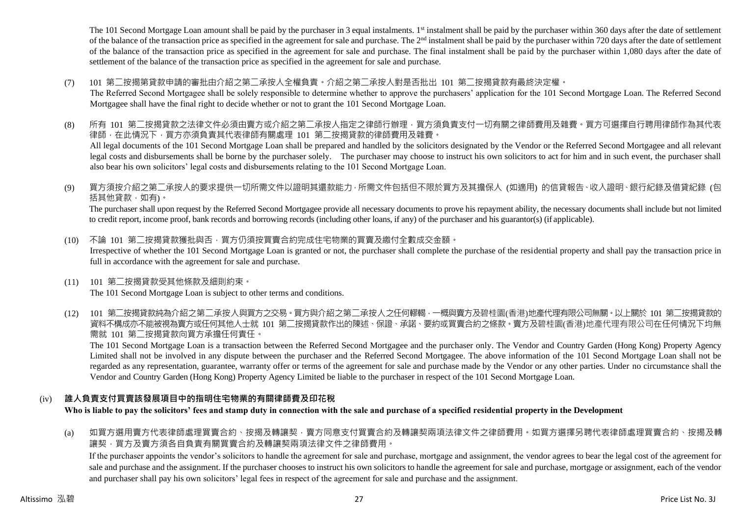The 101 Second Mortgage Loan amount shall be paid by the purchaser in 3 equal instalments. 1<sup>st</sup> instalment shall be paid by the purchaser within 360 days after the date of settlement of the balance of the transaction price as specified in the agreement for sale and purchase. The  $2<sup>nd</sup>$  instalment shall be paid by the purchaser within 720 days after the date of settlement of the balance of the transaction price as specified in the agreement for sale and purchase. The final instalment shall be paid by the purchaser within 1,080 days after the date of settlement of the balance of the transaction price as specified in the agreement for sale and purchase.

(7) 101 第二按揭第貸款申請的審批由介紹之第二承按人全權負責。介紹之第二承按人對是否批出 101 第二按揭貸款有最終決定權。

The Referred Second Mortgagee shall be solely responsible to determine whether to approve the purchasers' application for the 101 Second Mortgage Loan. The Referred Second Mortgagee shall have the final right to decide whether or not to grant the 101 Second Mortgage Loan.

- (8) 所有 101 第二按揭貸款之法律文件必須由賣方或介紹之第二承按人指定之律師行辦理,買方須負責支付一切有關之律師費用及雜費。買方可選擇自行聘用律師作為其代表 律師,在此情況下,買方亦須負責其代表律師有關處理 101 第二按揭貸款的律師費用及雜費。 All legal documents of the 101 Second Mortgage Loan shall be prepared and handled by the solicitors designated by the Vendor or the Referred Second Mortgagee and all relevant legal costs and disbursements shall be borne by the purchaser solely. The purchaser may choose to instruct his own solicitors to act for him and in such event, the purchaser shall also bear his own solicitors' legal costs and disbursements relating to the 101 Second Mortgage Loan.
- (9) 買方須按介紹之第二承按人的要求提供一切所需文件以證明其還款能力,所需文件包括但不限於買方及其擔保人 (如適用) 的信貸報告、收入證明、銀行紀錄及借貸紀錄 (包 括其他貸款,如有)。

The purchaser shall upon request by the Referred Second Mortgagee provide all necessary documents to prove his repayment ability, the necessary documents shall include but not limited to credit report, income proof, bank records and borrowing records (including other loans, if any) of the purchaser and his guarantor(s) (if applicable).

- (10) 不論 101 第二按揭貸款獲批與否,買方仍須按買賣合約完成住宅物業的買賣及繳付全數成交金額。 Irrespective of whether the 101 Second Mortgage Loan is granted or not, the purchaser shall complete the purchase of the residential property and shall pay the transaction price in full in accordance with the agreement for sale and purchase.
- (11) 101 第二按揭貸款受其他條款及細則約束。 The 101 Second Mortgage Loan is subject to other terms and conditions.
- (12) 101 第二按揭貸款純為介紹之第二承按人與買方之交易。買方與介紹之第二承按人之任何轇輵,一概與賣方及碧桂園(香港)地產代理有限公司無關。以上關於 101 第二按揭貸款的 資料不構成亦不能被視為賣方或任何其他人士就 101 第二按揭貸款作出的陳述、保證、承諾、要約或買賣合約之條款。賣方及碧桂園(香港)地產代理有限公司在任何情況下均無 需就 101 第二按揭貸款向買方承擔任何責任。

The 101 Second Mortgage Loan is a transaction between the Referred Second Mortgagee and the purchaser only. The Vendor and Country Garden (Hong Kong) Property Agency Limited shall not be involved in any dispute between the purchaser and the Referred Second Mortgagee. The above information of the 101 Second Mortgage Loan shall not be regarded as any representation, guarantee, warranty offer or terms of the agreement for sale and purchase made by the Vendor or any other parties. Under no circumstance shall the Vendor and Country Garden (Hong Kong) Property Agency Limited be liable to the purchaser in respect of the 101 Second Mortgage Loan.

# (iv) **誰人負責支付買賣該發展項目中的指明住宅物業的有關律師費及印花稅**

**Who is liable to pay the solicitors' fees and stamp duty in connection with the sale and purchase of a specified residential property in the Development**

(a) 如買方選用賣方代表律師處理買賣合約、按揭及轉讓契,賣方同意支付買賣合約及轉讓契兩項法律文件之律師費用。如買方選擇另聘代表律師處理買賣合約、按揭及轉 讓契,買方及賣方須各自負責有關買賣合約及轉讓契兩項法律文件之律師費用。

If the purchaser appoints the vendor's solicitors to handle the agreement for sale and purchase, mortgage and assignment, the vendor agrees to bear the legal cost of the agreement for sale and purchase and the assignment. If the purchaser chooses to instruct his own solicitors to handle the agreement for sale and purchase, mortgage or assignment, each of the vendor and purchaser shall pay his own solicitors' legal fees in respect of the agreement for sale and purchase and the assignment.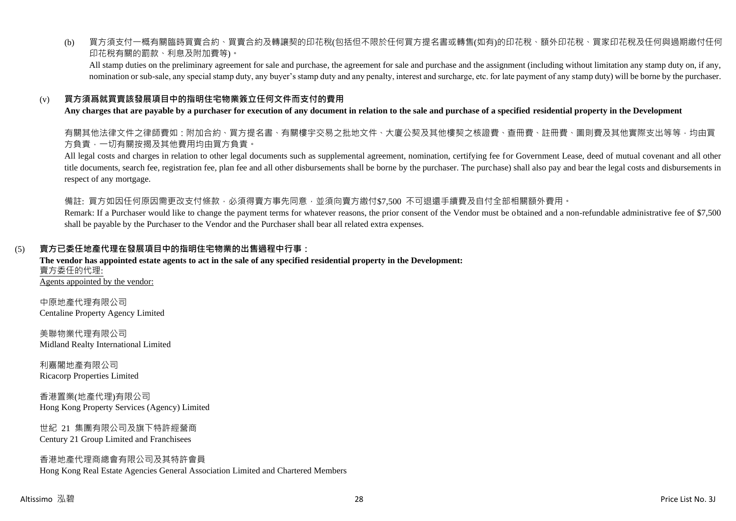(b) 買方須支付一概有關臨時買賣合約、買賣合約及轉讓契的印花稅(包括但不限於任何買方提名書或轉售(如有)的印花稅、額外印花稅、買家印花稅及任何與過期繳付任何 印花稅有關的罰款、利息及附加費等)。

All stamp duties on the preliminary agreement for sale and purchase, the agreement for sale and purchase and the assignment (including without limitation any stamp duty on, if any, nomination or sub-sale, any special stamp duty, any buyer's stamp duty and any penalty, interest and surcharge, etc. for late payment of any stamp duty) will be borne by the purchaser.

# (v) **買方須爲就買賣該發展項目中的指明住宅物業簽立任何文件而支付的費用**

#### **Any charges that are payable by a purchaser for execution of any document in relation to the sale and purchase of a specified residential property in the Development**

有關其他法律文件之律師費如:附加合約、買方提名書、有關樓宇交易之批地文件、大廈公契及其他樓契之核證費、查冊費、註冊費、圖則費及其他實際支出等等,均由買 方負責,一切有關按揭及其他費用均由買方負責。

All legal costs and charges in relation to other legal documents such as supplemental agreement, nomination, certifying fee for Government Lease, deed of mutual covenant and all other title documents, search fee, registration fee, plan fee and all other disbursements shall be borne by the purchaser. The purchase) shall also pay and bear the legal costs and disbursements in respect of any mortgage.

備註: 買方如因任何原因需更改支付條款,必須得賣方事先同意,並須向賣方繳付\$7,500 不可退還手續費及自付全部相關額外費用。

Remark: If a Purchaser would like to change the payment terms for whatever reasons, the prior consent of the Vendor must be obtained and a non-refundable administrative fee of \$7,500 shall be payable by the Purchaser to the Vendor and the Purchaser shall bear all related extra expenses.

# (5) **賣方已委任地產代理在發展項目中的指明住宅物業的出售過程中行事:**

#### **The vendor has appointed estate agents to act in the sale of any specified residential property in the Development:** 賣方委任的代理: Agents appointed by the vendor:

中原地產代理有限公司 Centaline Property Agency Limited

美聯物業代理有限公司 Midland Realty International Limited

利嘉閣地產有限公司 Ricacorp Properties Limited

香港置業(地產代理)有限公司 Hong Kong Property Services (Agency) Limited

世紀 21 集團有限公司及旗下特許經營商 Century 21 Group Limited and Franchisees

#### 香港地產代理商總會有限公司及其特許會員 Hong Kong Real Estate Agencies General Association Limited and Chartered Members